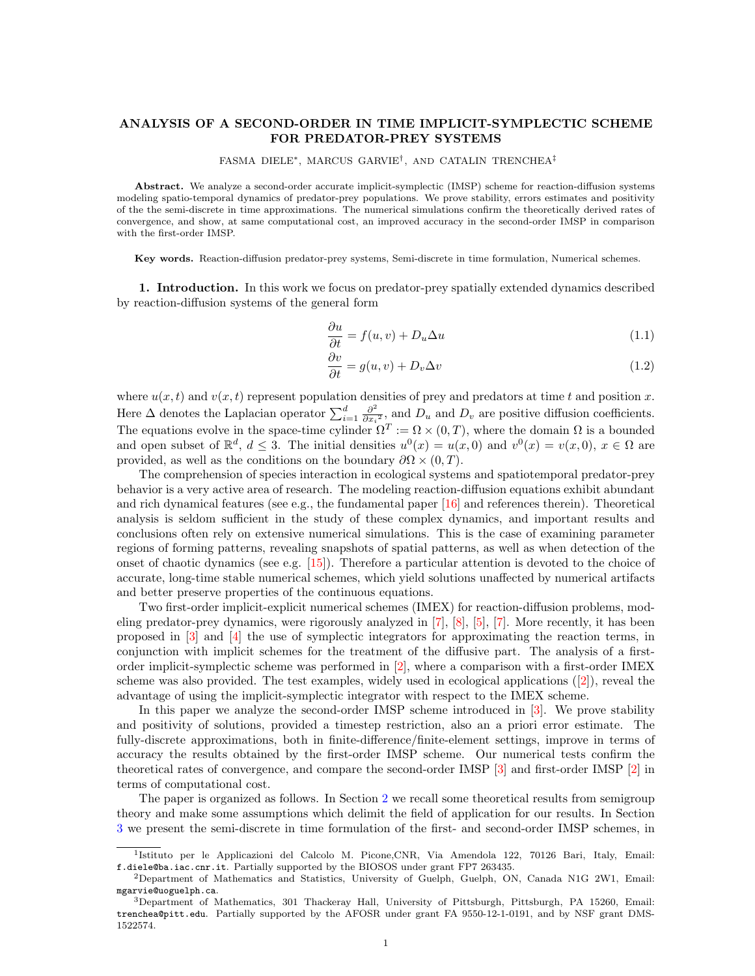## ANALYSIS OF A SECOND-ORDER IN TIME IMPLICIT-SYMPLECTIC SCHEME FOR PREDATOR-PREY SYSTEMS

#### FASMA DIELE∗, MARCUS GARVIE† , AND CATALIN TRENCHEA‡

Abstract. We analyze a second-order accurate implicit-symplectic (IMSP) scheme for reaction-diffusion systems modeling spatio-temporal dynamics of predator-prey populations. We prove stability, errors estimates and positivity of the the semi-discrete in time approximations. The numerical simulations confirm the theoretically derived rates of convergence, and show, at same computational cost, an improved accuracy in the second-order IMSP in comparison with the first-order IMSP.

Key words. Reaction-diffusion predator-prey systems, Semi-discrete in time formulation, Numerical schemes.

1. Introduction. In this work we focus on predator-prey spatially extended dynamics described by reaction-diffusion systems of the general form

<span id="page-0-1"></span><span id="page-0-0"></span>
$$
\frac{\partial u}{\partial t} = f(u, v) + D_u \Delta u \tag{1.1}
$$

$$
\frac{\partial v}{\partial t} = g(u, v) + D_v \Delta v \tag{1.2}
$$

where  $u(x, t)$  and  $v(x, t)$  represent population densities of prey and predators at time t and position x. Here  $\Delta$  denotes the Laplacian operator  $\sum_{i=1}^{d} \frac{\partial^2}{\partial x_i}$  $\frac{\partial^2}{\partial x_i^2}$ , and  $D_u$  and  $D_v$  are positive diffusion coefficients. The equations evolve in the space-time cylinder  $\Omega^T := \Omega \times (0,T)$ , where the domain  $\Omega$  is a bounded and open subset of  $\mathbb{R}^d$ ,  $d \leq 3$ . The initial densities  $u^0(x) = u(x, 0)$  and  $v^0(x) = v(x, 0)$ ,  $x \in \Omega$  are provided, as well as the conditions on the boundary  $\partial\Omega \times (0,T)$ .

The comprehension of species interaction in ecological systems and spatiotemporal predator-prey behavior is a very active area of research. The modeling reaction-diffusion equations exhibit abundant and rich dynamical features (see e.g., the fundamental paper [\[16\]](#page-17-0) and references therein). Theoretical analysis is seldom sufficient in the study of these complex dynamics, and important results and conclusions often rely on extensive numerical simulations. This is the case of examining parameter regions of forming patterns, revealing snapshots of spatial patterns, as well as when detection of the onset of chaotic dynamics (see e.g.  $[15]$ ). Therefore a particular attention is devoted to the choice of accurate, long-time stable numerical schemes, which yield solutions unaffected by numerical artifacts and better preserve properties of the continuous equations.

Two first-order implicit-explicit numerical schemes (IMEX) for reaction-diffusion problems, modeling predator-prey dynamics, were rigorously analyzed in [\[7\]](#page-16-0), [\[8\]](#page-16-1), [\[5\]](#page-16-2), [\[7\]](#page-16-0). More recently, it has been proposed in [\[3\]](#page-16-3) and [\[4\]](#page-16-4) the use of symplectic integrators for approximating the reaction terms, in conjunction with implicit schemes for the treatment of the diffusive part. The analysis of a firstorder implicit-symplectic scheme was performed in [\[2\]](#page-16-5), where a comparison with a first-order IMEX scheme was also provided. The test examples, widely used in ecological applications  $(2)$ , reveal the advantage of using the implicit-symplectic integrator with respect to the IMEX scheme.

In this paper we analyze the second-order IMSP scheme introduced in [\[3\]](#page-16-3). We prove stability and positivity of solutions, provided a timestep restriction, also an a priori error estimate. The fully-discrete approximations, both in finite-difference/finite-element settings, improve in terms of accuracy the results obtained by the first-order IMSP scheme. Our numerical tests confirm the theoretical rates of convergence, and compare the second-order IMSP [\[3\]](#page-16-3) and first-order IMSP [\[2\]](#page-16-5) in terms of computational cost.

The paper is organized as follows. In Section [2](#page-1-0) we recall some theoretical results from semigroup theory and make some assumptions which delimit the field of application for our results. In Section [3](#page-1-1) we present the semi-discrete in time formulation of the first- and second-order IMSP schemes, in

<sup>&</sup>lt;sup>1</sup>Istituto per le Applicazioni del Calcolo M. Picone, CNR, Via Amendola 122, 70126 Bari, Italy, Email: f.diele@ba.iac.cnr.it. Partially supported by the BIOSOS under grant FP7 263435.

<sup>2</sup>Department of Mathematics and Statistics, University of Guelph, Guelph, ON, Canada N1G 2W1, Email: mgarvie@uoguelph.ca.

<sup>3</sup>Department of Mathematics, 301 Thackeray Hall, University of Pittsburgh, Pittsburgh, PA 15260, Email: trenchea@pitt.edu. Partially supported by the AFOSR under grant FA 9550-12-1-0191, and by NSF grant DMS-1522574.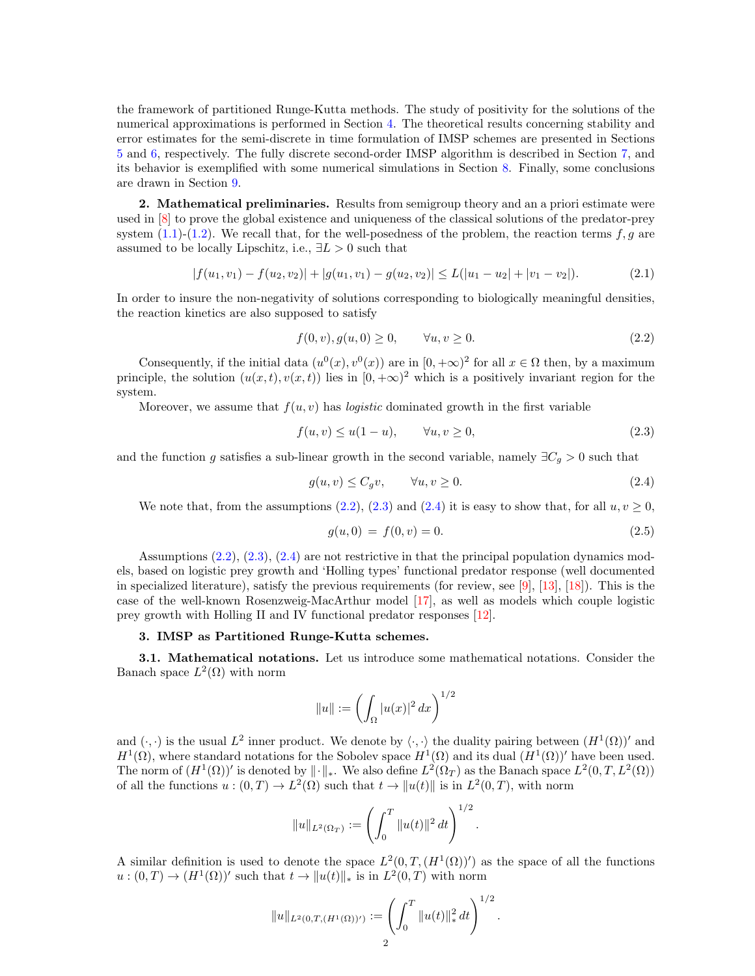the framework of partitioned Runge-Kutta methods. The study of positivity for the solutions of the numerical approximations is performed in Section [4.](#page-3-0) The theoretical results concerning stability and error estimates for the semi-discrete in time formulation of IMSP schemes are presented in Sections [5](#page-5-0) and [6,](#page-8-0) respectively. The fully discrete second-order IMSP algorithm is described in Section [7,](#page-11-0) and its behavior is exemplified with some numerical simulations in Section [8.](#page-12-0) Finally, some conclusions are drawn in Section [9.](#page-15-0)

<span id="page-1-0"></span>2. Mathematical preliminaries. Results from semigroup theory and an a priori estimate were used in [\[8\]](#page-16-1) to prove the global existence and uniqueness of the classical solutions of the predator-prey system  $(1.1)-(1.2)$  $(1.1)-(1.2)$  $(1.1)-(1.2)$ . We recall that, for the well-posedness of the problem, the reaction terms f, g are assumed to be locally Lipschitz, i.e.,  $\exists L > 0$  such that

$$
|f(u_1, v_1) - f(u_2, v_2)| + |g(u_1, v_1) - g(u_2, v_2)| \le L(|u_1 - u_2| + |v_1 - v_2|). \tag{2.1}
$$

In order to insure the non-negativity of solutions corresponding to biologically meaningful densities, the reaction kinetics are also supposed to satisfy

<span id="page-1-6"></span><span id="page-1-2"></span>
$$
f(0, v), g(u, 0) \ge 0, \qquad \forall u, v \ge 0.
$$
\n
$$
(2.2)
$$

Consequently, if the initial data  $(u^0(x), v^0(x))$  are in  $[0, +\infty)^2$  for all  $x \in \Omega$  then, by a maximum principle, the solution  $(u(x,t), v(x,t))$  lies in  $[0, +\infty)^2$  which is a positively invariant region for the system.

Moreover, we assume that  $f(u, v)$  has *logistic* dominated growth in the first variable

$$
f(u, v) \le u(1 - u), \qquad \forall u, v \ge 0,
$$
\n
$$
(2.3)
$$

and the function g satisfies a sub-linear growth in the second variable, namely  $\exists C_g > 0$  such that

$$
g(u, v) \le C_g v, \qquad \forall u, v \ge 0. \tag{2.4}
$$

We note that, from the assumptions [\(2.2\)](#page-1-2), [\(2.3\)](#page-1-3) and [\(2.4\)](#page-1-4) it is easy to show that, for all  $u, v \ge 0$ ,

<span id="page-1-5"></span><span id="page-1-4"></span><span id="page-1-3"></span>
$$
g(u,0) = f(0,v) = 0.
$$
\n(2.5)

Assumptions [\(2.2\)](#page-1-2), [\(2.3\)](#page-1-3), [\(2.4\)](#page-1-4) are not restrictive in that the principal population dynamics models, based on logistic prey growth and 'Holling types' functional predator response (well documented in specialized literature), satisfy the previous requirements (for review, see [\[9\]](#page-17-2), [\[13\]](#page-17-3), [\[18\]](#page-17-4)). This is the case of the well-known Rosenzweig-MacArthur model [\[17\]](#page-17-5), as well as models which couple logistic prey growth with Holling II and IV functional predator responses [\[12\]](#page-17-6).

# <span id="page-1-1"></span>3. IMSP as Partitioned Runge-Kutta schemes.

3.1. Mathematical notations. Let us introduce some mathematical notations. Consider the Banach space  $L^2(\Omega)$  with norm

$$
||u|| := \left(\int_{\Omega} |u(x)|^2 dx\right)^{1/2}
$$

and  $(\cdot, \cdot)$  is the usual  $L^2$  inner product. We denote by  $\langle \cdot, \cdot \rangle$  the duality pairing between  $(H^1(\Omega))'$  and  $H^1(\Omega)$ , where standard notations for the Sobolev space  $H^1(\Omega)$  and its dual  $(H^1(\Omega))'$  have been used. The norm of  $(H^1(\Omega))'$  is denoted by  $\|\cdot\|_*$ . We also define  $L^2(\Omega_T)$  as the Banach space  $L^2(0,T,L^2(\Omega))$ of all the functions  $u:(0,T) \to L^2(\Omega)$  such that  $t \to ||u(t)||$  is in  $L^2(0,T)$ , with norm

$$
||u||_{L^2(\Omega_T)} := \left(\int_0^T ||u(t)||^2 dt\right)^{1/2}.
$$

A similar definition is used to denote the space  $L^2(0,T,(H^1(\Omega))')$  as the space of all the functions  $u:(0,T) \to (H^1(\Omega))'$  such that  $t \to ||u(t)||_*$  is in  $L^2(0,T)$  with norm

$$
||u||_{L^2(0,T,(H^1(\Omega))')}:=\left(\int_0^T ||u(t)||_*^2 dt\right)^{1/2}.
$$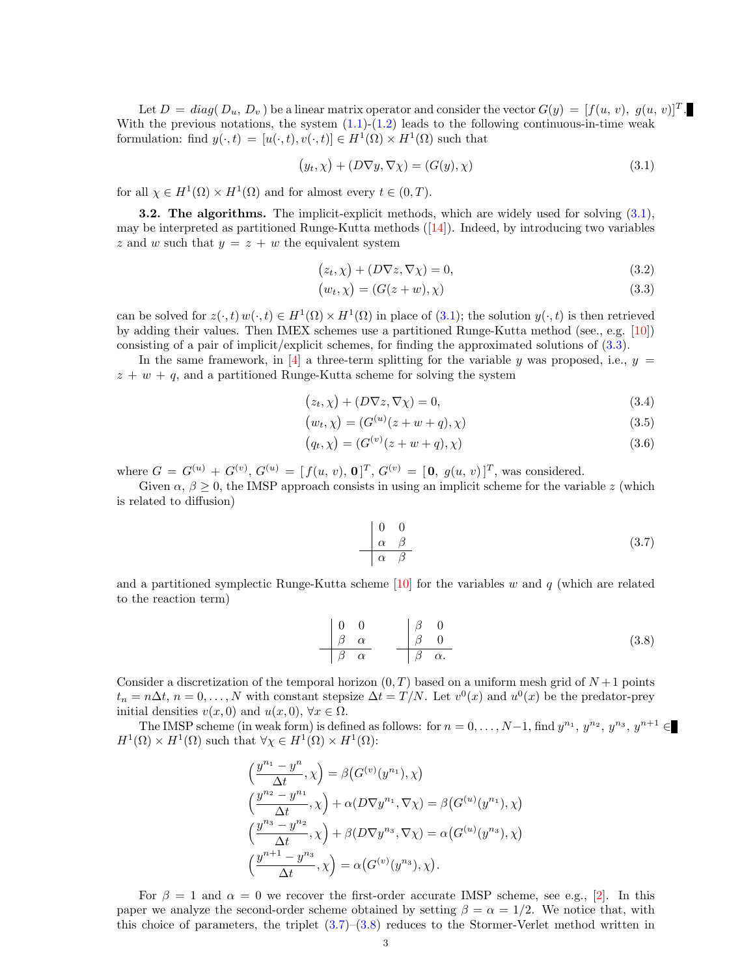Let  $D = diag(D_u, D_v)$  be a linear matrix operator and consider the vector  $G(y) = [f(u, v), g(u, v)]^T$ . With the previous notations, the system  $(1.1)-(1.2)$  $(1.1)-(1.2)$  $(1.1)-(1.2)$  leads to the following continuous-in-time weak formulation: find  $y(\cdot,t) = [u(\cdot,t), v(\cdot,t)] \in H^1(\Omega) \times H^1(\Omega)$  such that

<span id="page-2-0"></span>
$$
(y_t, \chi) + (D\nabla y, \nabla \chi) = (G(y), \chi)
$$
\n(3.1)

for all  $\chi \in H^1(\Omega) \times H^1(\Omega)$  and for almost every  $t \in (0, T)$ .

3.2. The algorithms. The implicit-explicit methods, which are widely used for solving [\(3.1\)](#page-2-0), may be interpreted as partitioned Runge-Kutta methods  $([14])$  $([14])$  $([14])$ . Indeed, by introducing two variables z and w such that  $y = z + w$  the equivalent system

$$
(z_t, \chi) + (D\nabla z, \nabla \chi) = 0,\t\t(3.2)
$$

<span id="page-2-1"></span>
$$
(w_t, \chi) = (G(z + w), \chi) \tag{3.3}
$$

can be solved for  $z(\cdot, t) w(\cdot, t) \in H^1(\Omega) \times H^1(\Omega)$  in place of  $(3.1)$ ; the solution  $y(\cdot, t)$  is then retrieved by adding their values. Then IMEX schemes use a partitioned Runge-Kutta method (see., e.g. [\[10\]](#page-17-8)) consisting of a pair of implicit/explicit schemes, for finding the approximated solutions of [\(3.3\)](#page-2-1).

In the same framework, in  $[4]$  a three-term splitting for the variable y was proposed, i.e.,  $y =$  $z + w + q$ , and a partitioned Runge-Kutta scheme for solving the system

$$
(z_t, \chi) + (D\nabla z, \nabla \chi) = 0,\t\t(3.4)
$$

$$
(w_t, \chi) = (G^{(u)}(z+w+q), \chi) \tag{3.5}
$$

$$
(q_t, \chi) = (G^{(v)}(z+w+q), \chi)
$$
\n(3.6)

where  $G = G^{(u)} + G^{(v)}$ ,  $G^{(u)} = [f(u, v), 0]^T$ ,  $G^{(v)} = [0, g(u, v)]^T$ , was considered.

Given  $\alpha, \beta \geq 0$ , the IMSP approach consists in using an implicit scheme for the variable z (which is related to diffusion)

<span id="page-2-2"></span>
$$
\begin{array}{c|c}\n0 & 0 \\
\alpha & \beta \\
\hline\n\alpha & \beta\n\end{array} (3.7)
$$

and a partitioned symplectic Runge-Kutta scheme  $[10]$  for the variables w and q (which are related to the reaction term)

<span id="page-2-3"></span>
$$
\begin{array}{c|cc}\n0 & 0 & \beta & 0 \\
\beta & \alpha & \beta & 0 \\
\hline\n\beta & \alpha\n\end{array}
$$
\n(3.8)

Consider a discretization of the temporal horizon  $(0, T)$  based on a uniform mesh grid of  $N+1$  points  $t_n = n\Delta t$ ,  $n = 0, \ldots, N$  with constant stepsize  $\Delta t = T/N$ . Let  $v^0(x)$  and  $u^0(x)$  be the predator-prey initial densities  $v(x, 0)$  and  $u(x, 0)$ ,  $\forall x \in \Omega$ .

The IMSP scheme (in weak form) is defined as follows: for  $n = 0, \ldots, N-1$ , find  $y^{n_1}, y^{n_2}, y^{n_3}, y^{n+1} \in$  $H^1(\Omega) \times H^1(\Omega)$  such that  $\forall \chi \in H^1(\Omega) \times H^1(\Omega)$ :

$$
\left(\frac{y^{n_1}-y^n}{\Delta t},\chi\right) = \beta\left(G^{(v)}(y^{n_1}),\chi\right)
$$
\n
$$
\left(\frac{y^{n_2}-y^{n_1}}{\Delta t},\chi\right) + \alpha(D\nabla y^{n_1},\nabla\chi) = \beta\left(G^{(u)}(y^{n_1}),\chi\right)
$$
\n
$$
\left(\frac{y^{n_3}-y^{n_2}}{\Delta t},\chi\right) + \beta(D\nabla y^{n_3},\nabla\chi) = \alpha\left(G^{(u)}(y^{n_3}),\chi\right)
$$
\n
$$
\left(\frac{y^{n+1}-y^{n_3}}{\Delta t},\chi\right) = \alpha\left(G^{(v)}(y^{n_3}),\chi\right).
$$

For  $\beta = 1$  and  $\alpha = 0$  we recover the first-order accurate IMSP scheme, see e.g., [\[2\]](#page-16-5). In this paper we analyze the second-order scheme obtained by setting  $\beta = \alpha = 1/2$ . We notice that, with this choice of parameters, the triplet [\(3.7\)](#page-2-2)–[\(3.8\)](#page-2-3) reduces to the Stormer-Verlet method written in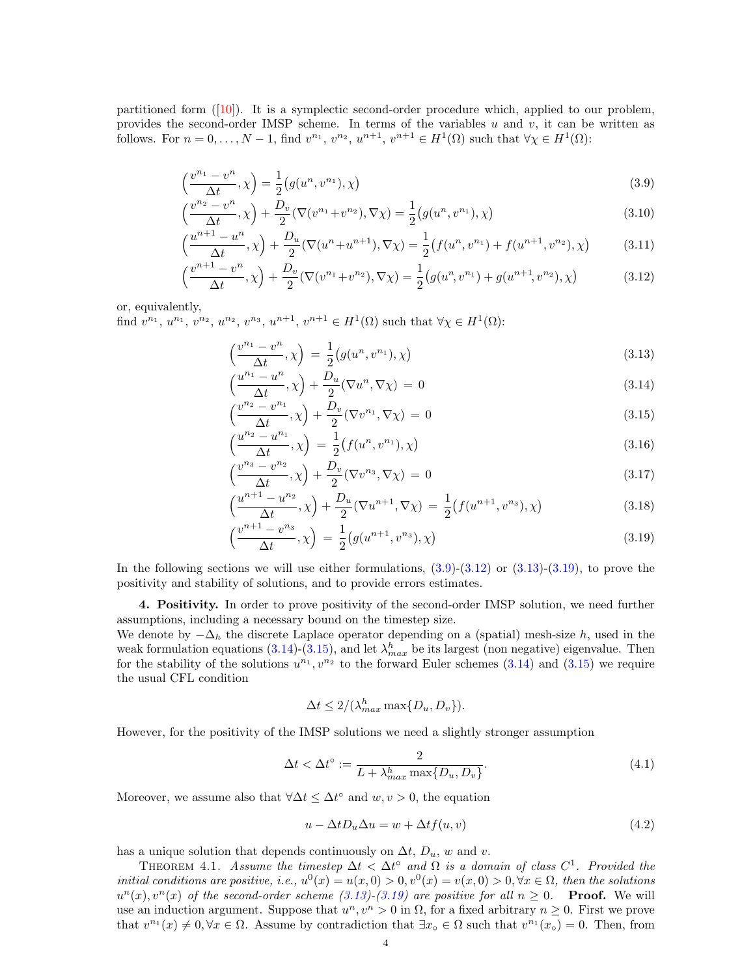partitioned form  $(10)$ . It is a symplectic second-order procedure which, applied to our problem, provides the second-order IMSP scheme. In terms of the variables  $u$  and  $v$ , it can be written as follows. For  $n = 0, \ldots, N-1$ , find  $v^{n_1}, v^{n_2}, u^{n+1}, v^{n+1} \in H^1(\Omega)$  such that  $\forall \chi \in H^1(\Omega)$ :

$$
\left(\frac{v^{n_1} - v^n}{\Delta t}, \chi\right) = \frac{1}{2} \left(g(u^n, v^{n_1}), \chi\right)
$$
\n(3.9)

$$
\left(\frac{v^{n_2} - v^n}{\Delta t}, \chi\right) + \frac{D_v}{2} (\nabla (v^{n_1} + v^{n_2}), \nabla \chi) = \frac{1}{2} \left(g(u^n, v^{n_1}), \chi\right)
$$
\n(3.10)

$$
\left(\frac{u^{n+1} - u^n}{\Delta t}, \chi\right) + \frac{D_u}{2} (\nabla (u^n + u^{n+1}), \nabla \chi) = \frac{1}{2} \left(f(u^n, v^{n_1}) + f(u^{n+1}, v^{n_2}), \chi\right) \tag{3.11}
$$

$$
\left(\frac{v^{n+1} - v^n}{\Delta t}, \chi\right) + \frac{D_v}{2} (\nabla (v^{n_1} + v^{n_2}), \nabla \chi) = \frac{1}{2} \left(g(u^n, v^{n_1}) + g(u^{n+1}, v^{n_2}), \chi\right)
$$
(3.12)

or, equivalently, find  $v^{n_1}, u^{n_1}, v^{n_2}, u^{n_2}, v^{n_3}, u^{n+1}, v^{n+1} \in H^1(\Omega)$  such that  $\forall \chi \in H^1(\Omega)$ :

<span id="page-3-13"></span><span id="page-3-12"></span><span id="page-3-3"></span><span id="page-3-2"></span><span id="page-3-1"></span>
$$
\left(\frac{v^{n_1} - v^n}{\Delta t}, \chi\right) = \frac{1}{2} \left(g(u^n, v^{n_1}), \chi\right) \tag{3.13}
$$

<span id="page-3-5"></span>
$$
\left(\frac{u^{n_1} - u^n}{\Delta t}, \chi\right) + \frac{D_u}{2} (\nabla u^n, \nabla \chi) = 0 \tag{3.14}
$$

<span id="page-3-6"></span>
$$
\left(\frac{v^{n_2} - v^{n_1}}{\Delta t}, \chi\right) + \frac{D_v}{2} (\nabla v^{n_1}, \nabla \chi) = 0
$$
\n(3.15)

<span id="page-3-8"></span>
$$
\left(\frac{u^{n_2} - u^{n_1}}{\Delta t}, \chi\right) = \frac{1}{2} \left(f(u^n, v^{n_1}), \chi\right) \tag{3.16}
$$

<span id="page-3-9"></span>
$$
\left(\frac{v^{n_3} - v^{n_2}}{\Delta t}, \chi\right) + \frac{D_v}{2} (\nabla v^{n_3}, \nabla \chi) = 0 \tag{3.17}
$$

$$
\left(\frac{u^{n+1} - u^{n_2}}{\Delta t}, \chi\right) + \frac{D_u}{2} (\nabla u^{n+1}, \nabla \chi) = \frac{1}{2} \left(f(u^{n+1}, v^{n_3}), \chi\right) \tag{3.18}
$$

$$
\left(\frac{v^{n+1} - v^{n_3}}{\Delta t}, \chi\right) = \frac{1}{2} \left(g(u^{n+1}, v^{n_3}), \chi\right) \tag{3.19}
$$

In the following sections we will use either formulations,  $(3.9)-(3.12)$  $(3.9)-(3.12)$  $(3.9)-(3.12)$  or  $(3.13)-(3.19)$  $(3.13)-(3.19)$  $(3.13)-(3.19)$ , to prove the positivity and stability of solutions, and to provide errors estimates.

<span id="page-3-0"></span>4. Positivity. In order to prove positivity of the second-order IMSP solution, we need further assumptions, including a necessary bound on the timestep size.

We denote by  $-\Delta_h$  the discrete Laplace operator depending on a (spatial) mesh-size h, used in the weak formulation equations [\(3.14\)](#page-3-5)-[\(3.15\)](#page-3-6), and let  $\lambda_{max}^h$  be its largest (non negative) eigenvalue. Then for the stability of the solutions  $u^{n_1}, v^{n_2}$  to the forward Euler schemes [\(3.14\)](#page-3-5) and [\(3.15\)](#page-3-6) we require the usual CFL condition

<span id="page-3-10"></span><span id="page-3-7"></span><span id="page-3-4"></span>
$$
\Delta t \le 2/(\lambda_{max}^h \max\{D_u, D_v\}).
$$

However, for the positivity of the IMSP solutions we need a slightly stronger assumption

$$
\Delta t < \Delta t^{\circ} := \frac{2}{L + \lambda_{max}^h \max\{D_u, D_v\}}.\tag{4.1}
$$

Moreover, we assume also that  $\forall \Delta t \leq \Delta t^{\circ}$  and  $w, v > 0$ , the equation

<span id="page-3-11"></span>
$$
u - \Delta t D_u \Delta u = w + \Delta t f(u, v) \tag{4.2}
$$

has a unique solution that depends continuously on  $\Delta t$ ,  $D_u$ , w and v.

<span id="page-3-14"></span>THEOREM 4.1. Assume the timestep  $\Delta t < \Delta t^{\circ}$  and  $\Omega$  is a domain of class  $C^1$ . Provided the initial conditions are positive, i.e.,  $u^0(x) = u(x,0) > 0, v^0(x) = v(x,0) > 0, \forall x \in \Omega$ , then the solutions  $u^{n}(x), v^{n}(x)$  of the second-order scheme  $(3.13)-(3.19)$  $(3.13)-(3.19)$  $(3.13)-(3.19)$  are positive for all  $n \geq 0$ . **Proof.** We will use an induction argument. Suppose that  $u^n, v^n > 0$  in  $\Omega$ , for a fixed arbitrary  $n \geq 0$ . First we prove that  $v^{n_1}(x) \neq 0, \forall x \in \Omega$ . Assume by contradiction that  $\exists x \in \Omega$  such that  $v^{n_1}(x_0) = 0$ . Then, from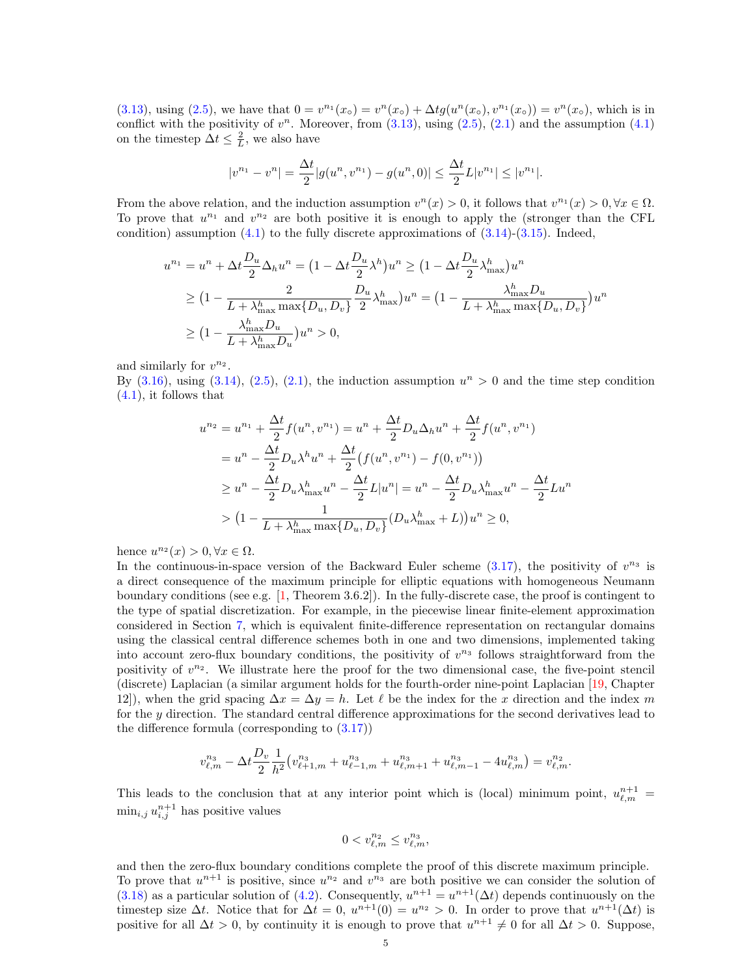[\(3.13\)](#page-3-3), using [\(2.5\)](#page-1-5), we have that  $0 = v^{n_1}(x_0) = v^{n}(x_0) + \Delta t g(u^{n}(x_0), v^{n_1}(x_0)) = v^{n}(x_0)$ , which is in conflict with the positivity of  $v^n$ . Moreover, from  $(3.13)$ , using  $(2.5)$ ,  $(2.1)$  and the assumption  $(4.1)$ on the timestep  $\Delta t \leq \frac{2}{L}$ , we also have

$$
|v^{n_1} - v^n| = \frac{\Delta t}{2} |g(u^n, v^{n_1}) - g(u^n, 0)| \le \frac{\Delta t}{2} L |v^{n_1}| \le |v^{n_1}|.
$$

From the above relation, and the induction assumption  $v^{n}(x) > 0$ , it follows that  $v^{n_1}(x) > 0, \forall x \in \Omega$ . To prove that  $u^{n_1}$  and  $v^{n_2}$  are both positive it is enough to apply the (stronger than the CFL condition) assumption  $(4.1)$  to the fully discrete approximations of  $(3.14)-(3.15)$  $(3.14)-(3.15)$  $(3.14)-(3.15)$ . Indeed,

$$
u^{n_1} = u^n + \Delta t \frac{D_u}{2} \Delta_h u^n = \left(1 - \Delta t \frac{D_u}{2} \lambda^h\right) u^n \ge \left(1 - \Delta t \frac{D_u}{2} \lambda^h_{\text{max}}\right) u^n
$$
  
\n
$$
\ge \left(1 - \frac{2}{L + \lambda^h_{\text{max}} \max\{D_u, D_v\}} \frac{D_u}{2} \lambda^h_{\text{max}}\right) u^n = \left(1 - \frac{\lambda^h_{\text{max}} D_u}{L + \lambda^h_{\text{max}} \max\{D_u, D_v\}}\right) u^n
$$
  
\n
$$
\ge \left(1 - \frac{\lambda^h_{\text{max}} D_u}{L + \lambda^h_{\text{max}} D_u}\right) u^n > 0,
$$

and similarly for  $v^{n_2}$ .

By  $(3.16)$ , using  $(3.14)$ ,  $(2.5)$ ,  $(2.1)$ , the induction assumption  $u<sup>n</sup> > 0$  and the time step condition [\(4.1\)](#page-3-7), it follows that

$$
u^{n_2} = u^{n_1} + \frac{\Delta t}{2} f(u^n, v^{n_1}) = u^n + \frac{\Delta t}{2} D_u \Delta_h u^n + \frac{\Delta t}{2} f(u^n, v^{n_1})
$$
  
=  $u^n - \frac{\Delta t}{2} D_u \lambda^h u^n + \frac{\Delta t}{2} (f(u^n, v^{n_1}) - f(0, v^{n_1}))$   
 $\geq u^n - \frac{\Delta t}{2} D_u \lambda_{\text{max}}^h u^n - \frac{\Delta t}{2} L |u^n| = u^n - \frac{\Delta t}{2} D_u \lambda_{\text{max}}^h u^n - \frac{\Delta t}{2} L u^n$   
 $> (1 - \frac{1}{L + \lambda_{\text{max}}^h \max\{D_u, D_v\}} (D_u \lambda_{\text{max}}^h + L)) u^n \geq 0,$ 

hence  $u^{n_2}(x) > 0, \forall x \in \Omega$ .

In the continuous-in-space version of the Backward Euler scheme  $(3.17)$ , the positivity of  $v^{n_3}$  is a direct consequence of the maximum principle for elliptic equations with homogeneous Neumann boundary conditions (see e.g. [\[1,](#page-16-6) Theorem 3.6.2]). In the fully-discrete case, the proof is contingent to the type of spatial discretization. For example, in the piecewise linear finite-element approximation considered in Section [7,](#page-11-0) which is equivalent finite-difference representation on rectangular domains using the classical central difference schemes both in one and two dimensions, implemented taking into account zero-flux boundary conditions, the positivity of  $v^{n_3}$  follows straightforward from the positivity of  $v^{n_2}$ . We illustrate here the proof for the two dimensional case, the five-point stencil (discrete) Laplacian (a similar argument holds for the fourth-order nine-point Laplacian [\[19,](#page-17-9) Chapter 12]), when the grid spacing  $\Delta x = \Delta y = h$ . Let  $\ell$  be the index for the x direction and the index m for the y direction. The standard central difference approximations for the second derivatives lead to the difference formula (corresponding to  $(3.17)$ )

$$
v_{\ell,m}^{n_3} - \Delta t \frac{D_v}{2} \frac{1}{h^2} \left( v_{\ell+1,m}^{n_3} + u_{\ell-1,m}^{n_3} + u_{\ell,m+1}^{n_3} + u_{\ell,m-1}^{n_3} - 4 u_{\ell,m}^{n_3} \right) = v_{\ell,m}^{n_2}.
$$

This leads to the conclusion that at any interior point which is (local) minimum point,  $u_{\ell,m}^{n+1} =$  $\min_{i,j} u^{n+1}_{i,j}$  has positive values

$$
0
$$

and then the zero-flux boundary conditions complete the proof of this discrete maximum principle. To prove that  $u^{n+1}$  is positive, since  $u^{n_2}$  and  $v^{n_3}$  are both positive we can consider the solution of [\(3.18\)](#page-3-10) as a particular solution of [\(4.2\)](#page-3-11). Consequently,  $u^{n+1} = u^{n+1}(\Delta t)$  depends continuously on the timestep size  $\Delta t$ . Notice that for  $\Delta t = 0$ ,  $u^{n+1}(0) = u^{n_2} > 0$ . In order to prove that  $u^{n+1}(\Delta t)$  is positive for all  $\Delta t > 0$ , by continuity it is enough to prove that  $u^{n+1} \neq 0$  for all  $\Delta t > 0$ . Suppose,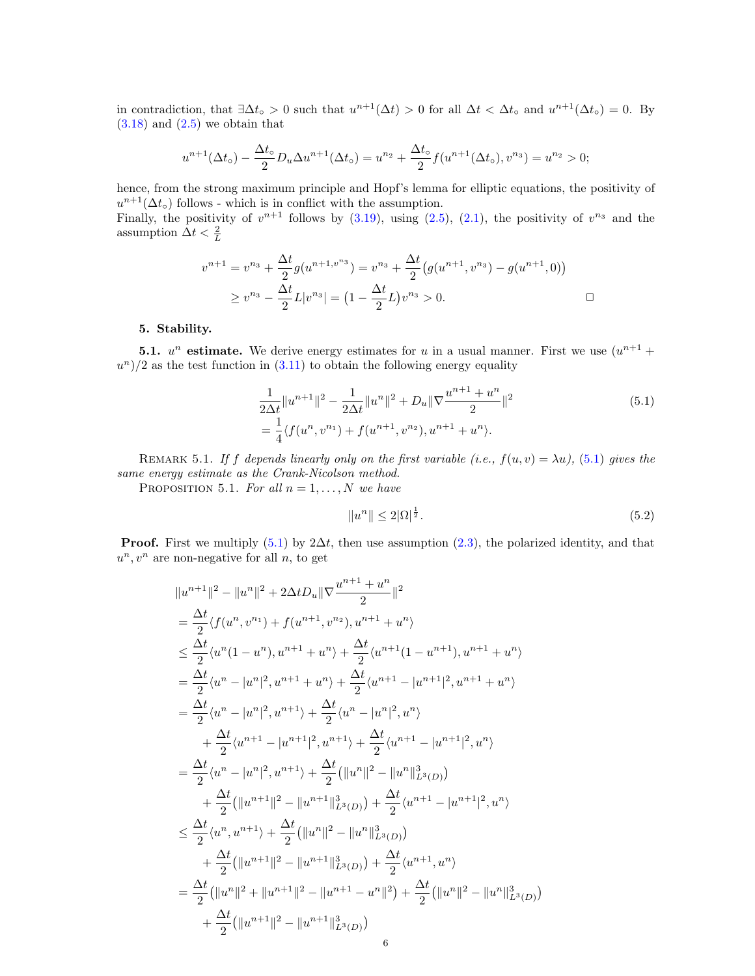in contradiction, that  $\exists \Delta t_{\circ} > 0$  such that  $u^{n+1}(\Delta t) > 0$  for all  $\Delta t < \Delta t_{\circ}$  and  $u^{n+1}(\Delta t_{\circ}) = 0$ . By  $(3.18)$  and  $(2.5)$  we obtain that

$$
u^{n+1}(\Delta t_{\circ}) - \frac{\Delta t_{\circ}}{2}D_{u}\Delta u^{n+1}(\Delta t_{\circ}) = u^{n_{2}} + \frac{\Delta t_{\circ}}{2}f(u^{n+1}(\Delta t_{\circ}), v^{n_{3}}) = u^{n_{2}} > 0;
$$

hence, from the strong maximum principle and Hopf's lemma for elliptic equations, the positivity of  $u^{n+1}(\Delta t_{\circ})$  follows - which is in conflict with the assumption. Finally, the positivity of  $v^{n+1}$  follows by [\(3.19\)](#page-3-4), using [\(2.5\)](#page-1-5), [\(2.1\)](#page-1-6), the positivity of  $v^{n_3}$  and the assumption  $\Delta t < \frac{2}{L}$ 

$$
v^{n+1} = v^{n_3} + \frac{\Delta t}{2} g(u^{n+1, v^{n_3}}) = v^{n_3} + \frac{\Delta t}{2} (g(u^{n+1}, v^{n_3}) - g(u^{n+1}, 0))
$$
  
 
$$
\ge v^{n_3} - \frac{\Delta t}{2} L |v^{n_3}| = (1 - \frac{\Delta t}{2} L) v^{n_3} > 0.
$$

## <span id="page-5-0"></span>5. Stability.

**5.1.**  $u^n$  estimate. We derive energy estimates for u in a usual manner. First we use  $(u^{n+1} +$  $(u^n)/2$  as the test function in  $(3.11)$  to obtain the following energy equality

$$
\frac{1}{2\Delta t} \|u^{n+1}\|^2 - \frac{1}{2\Delta t} \|u^n\|^2 + D_u \|\nabla \frac{u^{n+1} + u^n}{2}\|^2
$$
\n
$$
= \frac{1}{4} \langle f(u^n, v^{n_1}) + f(u^{n+1}, v^{n_2}), u^{n+1} + u^n \rangle. \tag{5.1}
$$

REMARK 5.1. If f depends linearly only on the first variable (i.e.,  $f(u, v) = \lambda u$ ), [\(5.1\)](#page-5-1) gives the same energy estimate as the Crank-Nicolson method.

PROPOSITION 5.1. For all  $n = 1, ..., N$  we have

<span id="page-5-2"></span><span id="page-5-1"></span>
$$
||u^n|| \le 2|\Omega|^{\frac{1}{2}}.\tag{5.2}
$$

**Proof.** First we multiply [\(5.1\)](#page-5-1) by  $2\Delta t$ , then use assumption [\(2.3\)](#page-1-3), the polarized identity, and that  $u^n, v^n$  are non-negative for all n, to get

$$
||u^{n+1}||^{2} - ||u^{n}||^{2} + 2\Delta t D_{u} ||\nabla \frac{u^{n+1} + u^{n}}{2} ||^{2}
$$
  
\n
$$
= \frac{\Delta t}{2} \langle f(u^{n}, v^{n_{1}}) + f(u^{n+1}, v^{n_{2}}), u^{n+1} + u^{n} \rangle
$$
  
\n
$$
\leq \frac{\Delta t}{2} \langle u^{n} (1 - u^{n}), u^{n+1} + u^{n} \rangle + \frac{\Delta t}{2} \langle u^{n+1} (1 - u^{n+1}), u^{n+1} + u^{n} \rangle
$$
  
\n
$$
= \frac{\Delta t}{2} \langle u^{n} - |u^{n}|^{2}, u^{n+1} + u^{n} \rangle + \frac{\Delta t}{2} \langle u^{n+1} - |u^{n+1}|^{2}, u^{n+1} + u^{n} \rangle
$$
  
\n
$$
= \frac{\Delta t}{2} \langle u^{n} - |u^{n}|^{2}, u^{n+1} \rangle + \frac{\Delta t}{2} \langle u^{n} - |u^{n}|^{2}, u^{n} \rangle
$$
  
\n
$$
+ \frac{\Delta t}{2} \langle u^{n+1} - |u^{n+1}|^{2}, u^{n+1} \rangle + \frac{\Delta t}{2} \langle u^{n+1} - |u^{n+1}|^{2}, u^{n} \rangle
$$
  
\n
$$
= \frac{\Delta t}{2} \langle u^{n} - |u^{n}|^{2}, u^{n+1} \rangle + \frac{\Delta t}{2} (||u^{n}||^{2} - ||u^{n}||_{L^{3}(D)}^{3})
$$
  
\n
$$
+ \frac{\Delta t}{2} (||u^{n+1}||^{2} - ||u^{n+1}||_{L^{3}(D)}^{3}) + \frac{\Delta t}{2} \langle u^{n+1} - |u^{n+1}|^{2}, u^{n} \rangle
$$
  
\n
$$
\leq \frac{\Delta t}{2} \langle u^{n}, u^{n+1} \rangle + \frac{\Delta t}{2} (||u^{n}||^{2} - ||u^{n}||_{L^{3}(D)}^{3})
$$
  
\n
$$
+ \frac{\Delta t}{2} (||u^{n+1}||^{2} - ||u^{n+1}||_{L^{3}(D)}^{3}) + \frac{\Delta t}{2} \langle u^{n+1},
$$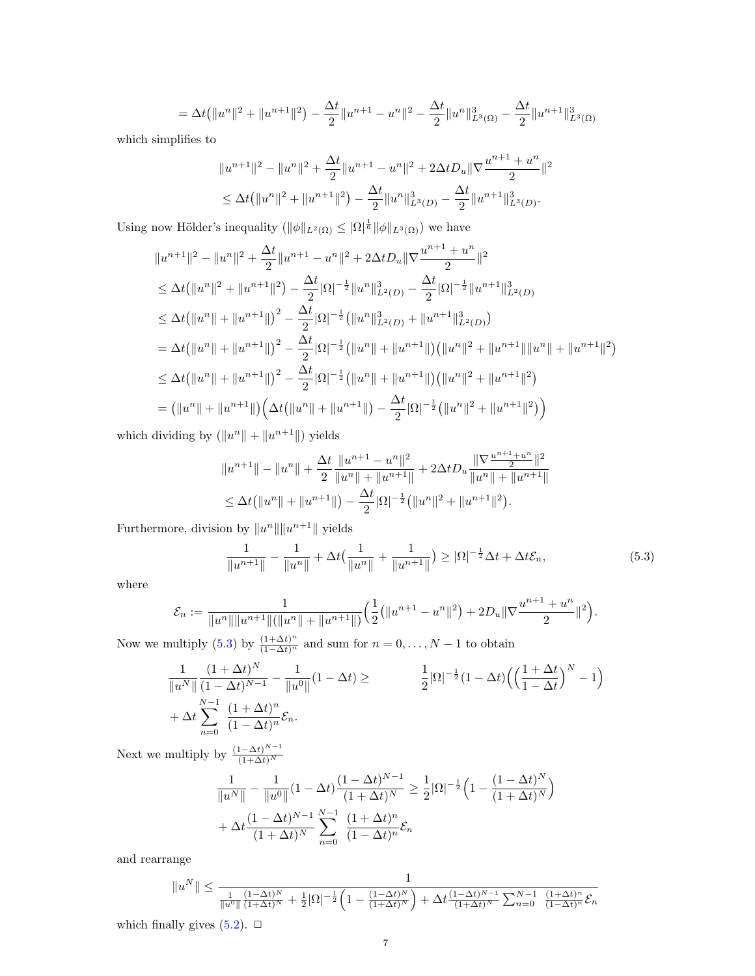$$
= \Delta t \left( \|u^n\|^2 + \|u^{n+1}\|^2 \right) - \frac{\Delta t}{2} \|u^{n+1} - u^n\|^2 - \frac{\Delta t}{2} \|u^n\|^3_{L^3(\Omega)} - \frac{\Delta t}{2} \|u^{n+1}\|^3_{L^3(\Omega)}
$$

which simplifies to

$$
||u^{n+1}||^2 - ||u^n||^2 + \frac{\Delta t}{2} ||u^{n+1} - u^n||^2 + 2\Delta t D_u ||\nabla \frac{u^{n+1} + u^n}{2}||^2
$$
  
\n
$$
\leq \Delta t (||u^n||^2 + ||u^{n+1}||^2) - \frac{\Delta t}{2} ||u^n||_{L^3(D)}^3 - \frac{\Delta t}{2} ||u^{n+1}||_{L^3(D)}^3.
$$

Using now Hölder's inequality  $(\|\phi\|_{L^2(\Omega)} \leq |\Omega|^{\frac{1}{6}} \|\phi\|_{L^3(\Omega)})$  we have

$$
||u^{n+1}||^{2} - ||u^{n}||^{2} + \frac{\Delta t}{2}||u^{n+1} - u^{n}||^{2} + 2\Delta t D_{u}||\nabla \frac{u^{n+1} + u^{n}}{2}||^{2}
$$
  
\n
$$
\leq \Delta t (||u^{n}||^{2} + ||u^{n+1}||^{2}) - \frac{\Delta t}{2}|\Omega|^{-\frac{1}{2}}||u^{n}||_{L^{2}(D)}^{3} - \frac{\Delta t}{2}|\Omega|^{-\frac{1}{2}}||u^{n+1}||_{L^{2}(D)}^{3}
$$
  
\n
$$
\leq \Delta t (||u^{n}|| + ||u^{n+1}||)^{2} - \frac{\Delta t}{2}|\Omega|^{-\frac{1}{2}} (||u^{n}||_{L^{2}(D)}^{3} + ||u^{n+1}||_{L^{2}(D)}^{3})
$$
  
\n
$$
= \Delta t (||u^{n}|| + ||u^{n+1}||)^{2} - \frac{\Delta t}{2}|\Omega|^{-\frac{1}{2}} (||u^{n}|| + ||u^{n+1}||) (||u^{n}||^{2} + ||u^{n+1}||||u^{n}|| + ||u^{n+1}||^{2})
$$
  
\n
$$
\leq \Delta t (||u^{n}|| + ||u^{n+1}||)^{2} - \frac{\Delta t}{2}|\Omega|^{-\frac{1}{2}} (||u^{n}|| + ||u^{n+1}||) (||u^{n}||^{2} + ||u^{n+1}||^{2})
$$
  
\n
$$
= (||u^{n}|| + ||u^{n+1}||) (\Delta t (||u^{n}|| + ||u^{n+1}||) - \frac{\Delta t}{2}|\Omega|^{-\frac{1}{2}} (||u^{n}||^{2} + ||u^{n+1}||^{2}) )
$$

which dividing by  $(\|u^n\| + \|u^{n+1}\|)$  yields

$$
||u^{n+1}|| - ||u^n|| + \frac{\Delta t}{2} \frac{||u^{n+1} - u^n||^2}{||u^n|| + ||u^{n+1}||} + 2\Delta t D_u \frac{||\nabla \frac{u^{n+1} + u^n}{2}||^2}{||u^n|| + ||u^{n+1}||}
$$
  
\n
$$
\leq \Delta t (||u^n|| + ||u^{n+1}||) - \frac{\Delta t}{2} |\Omega|^{-\frac{1}{2}} (||u^n||^2 + ||u^{n+1}||^2).
$$

Furthermore, division by  $||u^n|| ||u^{n+1}||$  yields

<span id="page-6-0"></span>
$$
\frac{1}{\|u^{n+1}\|} - \frac{1}{\|u^n\|} + \Delta t \left(\frac{1}{\|u^n\|} + \frac{1}{\|u^{n+1}\|}\right) \ge |\Omega|^{-\frac{1}{2}} \Delta t + \Delta t \mathcal{E}_n,\tag{5.3}
$$

where

$$
\mathcal{E}_n := \frac{1}{\|u^n\| \|u^{n+1}\| (\|u^n\| + \|u^{n+1}\|)} \Big(\frac{1}{2}(\|u^{n+1} - u^n\|^2) + 2D_u \|\nabla \frac{u^{n+1} + u^n}{2}\|^2\Big).
$$

Now we multiply [\(5.3\)](#page-6-0) by  $\frac{(1+\Delta t)^n}{(1-\Delta t)^n}$  and sum for  $n=0,\ldots,N-1$  to obtain

$$
\frac{1}{\|u^N\|} \frac{(1+\Delta t)^N}{(1-\Delta t)^{N-1}} - \frac{1}{\|u^0\|} (1-\Delta t) \ge \frac{1}{2} |\Omega|^{-\frac{1}{2}} (1-\Delta t) \left( \left( \frac{1+\Delta t}{1-\Delta t} \right)^N - 1 \right) + \Delta t \sum_{n=0}^{N-1} \frac{(1+\Delta t)^n}{(1-\Delta t)^n} \mathcal{E}_n.
$$

Next we multiply by  $\frac{(1-\Delta t)^{N-1}}{(1+\Delta t)^N}$  $(1+\Delta t)^N$ 

$$
\frac{1}{\|u^N\|} - \frac{1}{\|u^0\|} (1 - \Delta t) \frac{(1 - \Delta t)^{N-1}}{(1 + \Delta t)^N} \ge \frac{1}{2} |\Omega|^{-\frac{1}{2}} \left(1 - \frac{(1 - \Delta t)^N}{(1 + \Delta t)^N}\right) + \Delta t \frac{(1 - \Delta t)^{N-1}}{(1 + \Delta t)^N} \sum_{n=0}^{N-1} \frac{(1 + \Delta t)^n}{(1 - \Delta t)^n} \mathcal{E}_n
$$

and rearrange

$$
\|u^N\| \leq \frac{1}{\frac{1}{\|u^0\|}\frac{(1-\Delta t)^N}{(1+\Delta t)^N} + \frac{1}{2}|\Omega|^{-\frac{1}{2}}\Big(1 - \frac{(1-\Delta t)^N}{(1+\Delta t)^N}\Big) + \Delta t \frac{(1-\Delta t)^{N-1}}{(1+\Delta t)^N} \sum_{n=0}^{N-1} \frac{(1+\Delta t)^n}{(1-\Delta t)^n} \mathcal{E}_n}
$$

which finally gives  $(5.2)$ .  $\Box$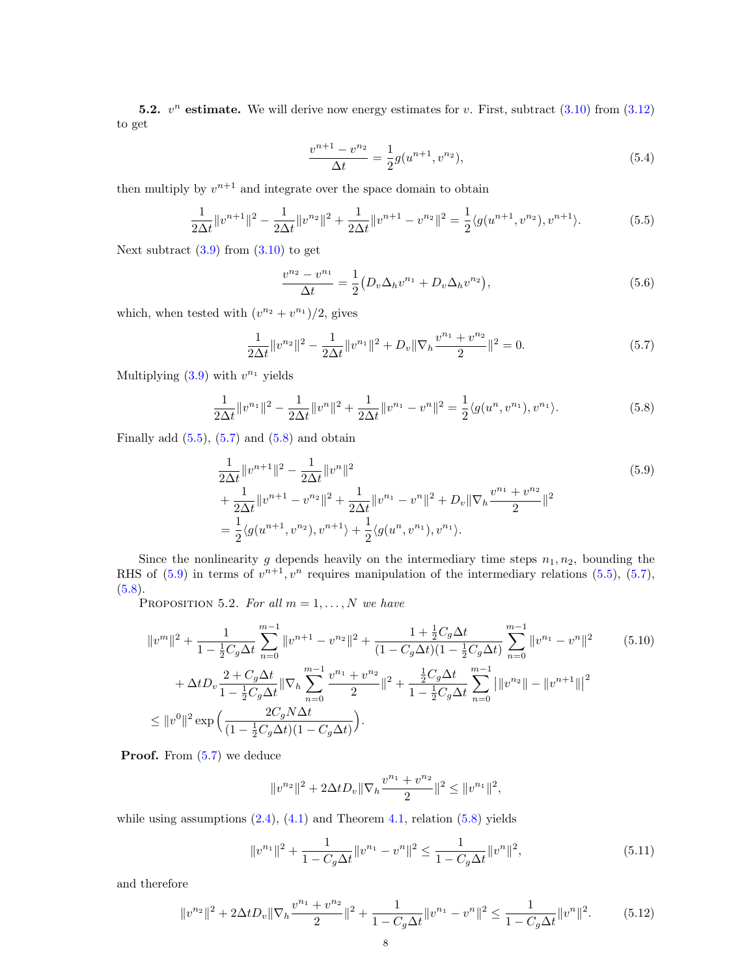**5.2.**  $v^n$  estimate. We will derive now energy estimates for v. First, subtract  $(3.10)$  from  $(3.12)$ to get

<span id="page-7-7"></span><span id="page-7-0"></span>
$$
\frac{v^{n+1} - v^{n_2}}{\Delta t} = \frac{1}{2}g(u^{n+1}, v^{n_2}),\tag{5.4}
$$

then multiply by  $v^{n+1}$  and integrate over the space domain to obtain

$$
\frac{1}{2\Delta t} \|v^{n+1}\|^2 - \frac{1}{2\Delta t} \|v^{n+1}\|^2 + \frac{1}{2\Delta t} \|v^{n+1} - v^{n+1}\|^2 = \frac{1}{2} \langle g(u^{n+1}, v^{n+1}), v^{n+1} \rangle.
$$
 (5.5)

Next subtract  $(3.9)$  from  $(3.10)$  to get

<span id="page-7-3"></span><span id="page-7-2"></span><span id="page-7-1"></span>
$$
\frac{v^{n_2} - v^{n_1}}{\Delta t} = \frac{1}{2} \left( D_v \Delta_h v^{n_1} + D_v \Delta_h v^{n_2} \right),\tag{5.6}
$$

which, when tested with  $(v^{n_2} + v^{n_1})/2$ , gives

$$
\frac{1}{2\Delta t} \|v^{n_2}\|^2 - \frac{1}{2\Delta t} \|v^{n_1}\|^2 + D_v \|\nabla_h \frac{v^{n_1} + v^{n_2}}{2}\|^2 = 0.
$$
 (5.7)

Multiplying  $(3.9)$  with  $v^{n_1}$  yields

$$
\frac{1}{2\Delta t} \|v^{n_1}\|^2 - \frac{1}{2\Delta t} \|v^n\|^2 + \frac{1}{2\Delta t} \|v^{n_1} - v^n\|^2 = \frac{1}{2} \langle g(u^n, v^{n_1}), v^{n_1} \rangle. \tag{5.8}
$$

Finally add  $(5.5)$ ,  $(5.7)$  and  $(5.8)$  and obtain

$$
\frac{1}{2\Delta t} \|v^{n+1}\|^2 - \frac{1}{2\Delta t} \|v^n\|^2
$$
\n
$$
+ \frac{1}{2\Delta t} \|v^{n+1} - v^{n+1}\|^2 + \frac{1}{2\Delta t} \|v^{n+1} - v^{n}\|^2 + D_v \|\nabla_h \frac{v^{n+1} + v^{n+1}}{2} \|^2
$$
\n
$$
= \frac{1}{2} \langle g(u^{n+1}, v^{n+1}), v^{n+1}\rangle + \frac{1}{2} \langle g(u^n, v^{n+1}), v^{n+1}\rangle.
$$
\n(5.9)

Since the nonlinearity g depends heavily on the intermediary time steps  $n_1, n_2$ , bounding the RHS of  $(5.9)$  in terms of  $v^{n+1}$ ,  $v^n$  requires manipulation of the intermediary relations  $(5.5)$ ,  $(5.7)$ ,  $(5.8).$  $(5.8).$ 

PROPOSITION 5.2. For all  $m = 1, ..., N$  we have

$$
||v^m||^2 + \frac{1}{1 - \frac{1}{2}C_g \Delta t} \sum_{n=0}^{m-1} ||v^{n+1} - v^{n}||^2 + \frac{1 + \frac{1}{2}C_g \Delta t}{(1 - C_g \Delta t)(1 - \frac{1}{2}C_g \Delta t)} \sum_{n=0}^{m-1} ||v^{n} - v^{n}||^2
$$
\n
$$
+ \Delta t D_v \frac{2 + C_g \Delta t}{1 - \frac{1}{2}C_g \Delta t} ||\nabla_h \sum_{n=0}^{m-1} \frac{v^{n} + v^{n} }{2} ||^2 + \frac{\frac{1}{2}C_g \Delta t}{1 - \frac{1}{2}C_g \Delta t} \sum_{n=0}^{m-1} |||v^{n} - ||v^{n+1}|||^2
$$
\n
$$
\leq ||v^0||^2 \exp\left(\frac{2C_g N \Delta t}{(1 - \frac{1}{2}C_g \Delta t)(1 - C_g \Delta t)}\right).
$$
\n(5.10)

**Proof.** From  $(5.7)$  we deduce

<span id="page-7-6"></span><span id="page-7-5"></span><span id="page-7-4"></span>
$$
||v^{n_2}||^2 + 2\Delta t D_v ||\nabla_h \frac{v^{n_1} + v^{n_2}}{2}||^2 \le ||v^{n_1}||^2,
$$

while using assumptions  $(2.4)$ ,  $(4.1)$  and Theorem [4.1,](#page-3-14) relation  $(5.8)$  yields

$$
||v^{n_1}||^2 + \frac{1}{1 - C_g \Delta t} ||v^{n_1} - v^n||^2 \le \frac{1}{1 - C_g \Delta t} ||v^n||^2,
$$
\n(5.11)

and therefore

$$
||v^{n_2}||^2 + 2\Delta t D_v ||\nabla_h \frac{v^{n_1} + v^{n_2}}{2}||^2 + \frac{1}{1 - C_g \Delta t} ||v^{n_1} - v^n||^2 \le \frac{1}{1 - C_g \Delta t} ||v^n||^2. \tag{5.12}
$$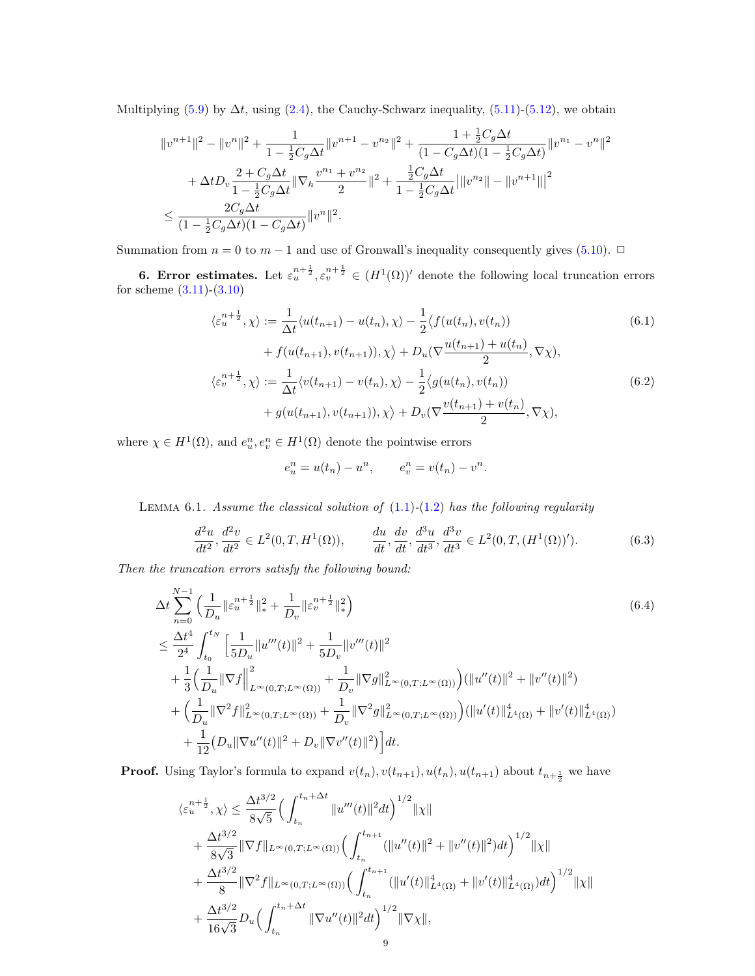Multiplying [\(5.9\)](#page-7-3) by  $\Delta t$ , using [\(2.4\)](#page-1-4), the Cauchy-Schwarz inequality, [\(5.11\)](#page-7-4)-[\(5.12\)](#page-7-5), we obtain

$$
\begin{aligned} &\|v^{n+1}\|^2-\|v^n\|^2+\frac{1}{1-\frac{1}{2}C_g\Delta t}\|v^{n+1}-v^{n_2}\|^2+\frac{1+\frac{1}{2}C_g\Delta t}{(1-C_g\Delta t)(1-\frac{1}{2}C_g\Delta t)}\|v^{n_1}-v^n\|^2\\ &+\Delta t D_v\frac{2+C_g\Delta t}{1-\frac{1}{2}C_g\Delta t}\|\nabla_h\frac{v^{n_1}+v^{n_2}}{2}\|^2+\frac{\frac{1}{2}C_g\Delta t}{1-\frac{1}{2}C_g\Delta t}\big|\|v^{n_2}\|-\|v^{n+1}\|\big|^2\\ &\leq \frac{2C_g\Delta t}{(1-\frac{1}{2}C_g\Delta t)(1-C_g\Delta t)}\|v^n\|^2. \end{aligned}
$$

Summation from  $n = 0$  to  $m - 1$  and use of Gronwall's inequality consequently gives [\(5.10\)](#page-7-6). □

<span id="page-8-0"></span>**6. Error estimates.** Let  $\varepsilon_u^{n+\frac{1}{2}}, \varepsilon_v^{n+\frac{1}{2}} \in (H^1(\Omega))'$  denote the following local truncation errors for scheme [\(3.11\)](#page-3-12)-[\(3.10\)](#page-3-13)

$$
\langle \varepsilon_u^{n+\frac{1}{2}}, \chi \rangle := \frac{1}{\Delta t} \langle u(t_{n+1}) - u(t_n), \chi \rangle - \frac{1}{2} \langle f(u(t_n), v(t_n)) + f(u(t_{n+1}), v(t_{n+1})), \chi \rangle + D_u(\nabla \frac{u(t_{n+1}) + u(t_n)}{2}, \nabla \chi),
$$
  

$$
\langle \varepsilon_v^{n+\frac{1}{2}}, \chi \rangle := \frac{1}{\Delta t} \langle v(t_{n+1}) - v(t_n), \chi \rangle - \frac{1}{2} \langle g(u(t_n), v(t_n)) + g(u(t_{n+1}), v(t_{n+1})), \chi \rangle + D_v(\nabla \frac{v(t_{n+1}) + v(t_n)}{2}, \nabla \chi),
$$
\n(6.2)

where  $\chi \in H^1(\Omega)$ , and  $e_u^n, e_v^n \in H^1(\Omega)$  denote the pointwise errors

<span id="page-8-3"></span><span id="page-8-2"></span><span id="page-8-1"></span>
$$
e_u^n = u(t_n) - u^n
$$
,  $e_v^n = v(t_n) - v^n$ .

<span id="page-8-4"></span>LEMMA 6.1. Assume the classical solution of  $(1.1)-(1.2)$  $(1.1)-(1.2)$  $(1.1)-(1.2)$  has the following regularity

$$
\frac{d^2u}{dt^2}, \frac{d^2v}{dt^2} \in L^2(0, T, H^1(\Omega)), \qquad \frac{du}{dt}, \frac{dv}{dt}, \frac{d^3u}{dt^3}, \frac{d^3v}{dt^3} \in L^2(0, T, (H^1(\Omega))').
$$
 (6.3)

Then the truncation errors satisfy the following bound:

$$
\Delta t \sum_{n=0}^{N-1} \left( \frac{1}{D_u} \|\varepsilon_u^{n+\frac{1}{2}}\|_{*}^{2} + \frac{1}{D_v} \|\varepsilon_v^{n+\frac{1}{2}}\|_{*}^{2} \right)
$$
\n
$$
\leq \frac{\Delta t^{4}}{2^{4}} \int_{t_0}^{t_N} \left[ \frac{1}{5D_u} \|u'''(t)\|^{2} + \frac{1}{5D_v} \|v'''(t)\|^{2} + \frac{1}{3} \left( \frac{1}{D_u} \|\nabla f\|_{L^{\infty}(0,T;L^{\infty}(\Omega))}^{2} + \frac{1}{D_v} \|\nabla g\|_{L^{\infty}(0,T;L^{\infty}(\Omega))}^{2} \right) \left( \|u''(t)\|^{2} + \|v''(t)\|^{2} \right)
$$
\n
$$
+ \left( \frac{1}{D_u} \|\nabla^2 f\|_{L^{\infty}(0,T;L^{\infty}(\Omega))}^{2} + \frac{1}{D_v} \|\nabla^2 g\|_{L^{\infty}(0,T;L^{\infty}(\Omega))}^{2} \right) \left( \|u'(t)\|_{L^4(\Omega)}^{4} + \|v'(t)\|_{L^4(\Omega)}^{4} \right)
$$
\n
$$
+ \frac{1}{12} \left( D_u \|\nabla u''(t)\|^{2} + D_v \|\nabla v''(t)\|^{2} \right) \right] dt.
$$
\n(6.4)

**Proof.** Using Taylor's formula to expand  $v(t_n)$ ,  $v(t_{n+1})$ ,  $u(t_n)$ ,  $u(t_{n+1})$  about  $t_{n+\frac{1}{2}}$  we have

$$
\langle \varepsilon_{u}^{n+\frac{1}{2}}, \chi \rangle \leq \frac{\Delta t^{3/2}}{8\sqrt{5}} \Big( \int_{t_{n}}^{t_{n}+\Delta t} \|u'''(t)\|^{2} dt \Big)^{1/2} \|\chi\| + \frac{\Delta t^{3/2}}{8\sqrt{3}} \|\nabla f\|_{L^{\infty}(0,T;L^{\infty}(\Omega))} \Big( \int_{t_{n}}^{t_{n+1}} (\|u''(t)\|^{2} + \|v''(t)\|^{2}) dt \Big)^{1/2} \|\chi\| + \frac{\Delta t^{3/2}}{8} \|\nabla^{2} f\|_{L^{\infty}(0,T;L^{\infty}(\Omega))} \Big( \int_{t_{n}}^{t_{n+1}} (\|u'(t)\|_{L^{4}(\Omega)}^{4} + \|v'(t)\|_{L^{4}(\Omega)}^{4}) dt \Big)^{1/2} \|\chi\| + \frac{\Delta t^{3/2}}{16\sqrt{3}} D_{u} \Big( \int_{t_{n}}^{t_{n}+\Delta t} \|\nabla u''(t)\|^{2} dt \Big)^{1/2} \|\nabla \chi\|,
$$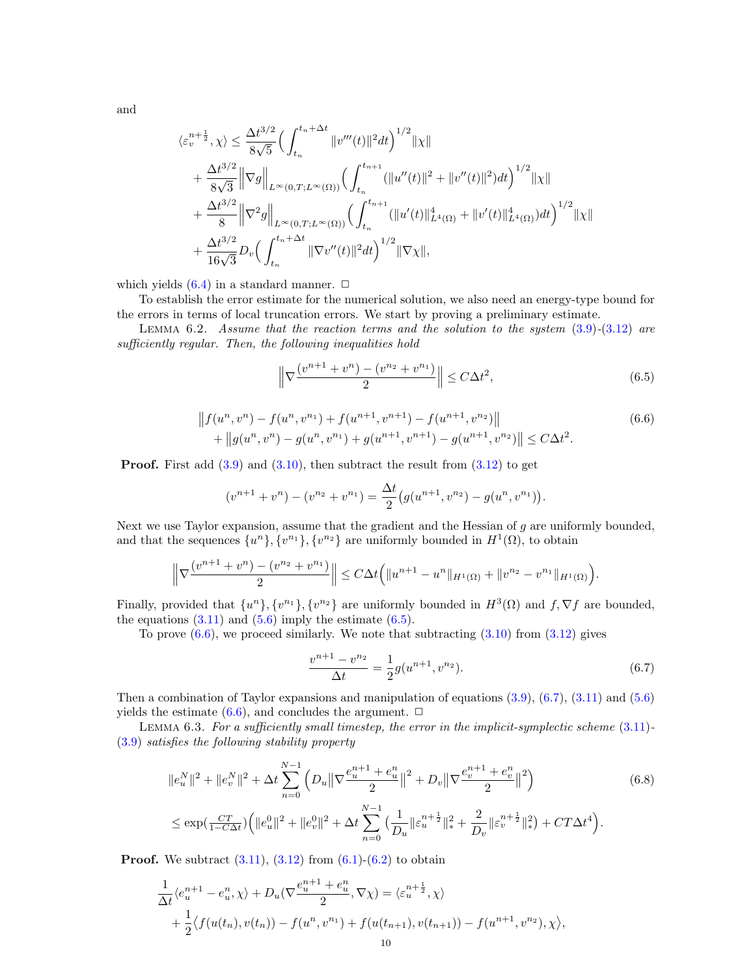and

$$
\langle \varepsilon_v^{n+\frac{1}{2}}, \chi \rangle \leq \frac{\Delta t^{3/2}}{8\sqrt{5}} \Big( \int_{t_n}^{t_n + \Delta t} \|v'''(t)\|^2 dt \Big)^{1/2} \|\chi\| + \frac{\Delta t^{3/2}}{8\sqrt{3}} \|\nabla g\|_{L^{\infty}(0,T;L^{\infty}(\Omega))} \Big( \int_{t_n}^{t_{n+1}} (\|u''(t)\|^2 + \|v''(t)\|^2) dt \Big)^{1/2} \|\chi\| + \frac{\Delta t^{3/2}}{8} \|\nabla^2 g\|_{L^{\infty}(0,T;L^{\infty}(\Omega))} \Big( \int_{t_n}^{t_{n+1}} (\|u'(t)\|_{L^4(\Omega)}^4 + \|v'(t)\|_{L^4(\Omega)}^4) dt \Big)^{1/2} \|\chi\| + \frac{\Delta t^{3/2}}{16\sqrt{3}} D_v \Big( \int_{t_n}^{t_n + \Delta t} \|\nabla v''(t)\|^2 dt \Big)^{1/2} \|\nabla \chi\|,
$$

which yields  $(6.4)$  in a standard manner.  $\Box$ 

To establish the error estimate for the numerical solution, we also need an energy-type bound for the errors in terms of local truncation errors. We start by proving a preliminary estimate.

LEMMA 6.2. Assume that the reaction terms and the solution to the system  $(3.9)-(3.12)$  $(3.9)-(3.12)$  $(3.9)-(3.12)$  are sufficiently regular. Then, the following inequalities hold

<span id="page-9-3"></span><span id="page-9-1"></span><span id="page-9-0"></span>
$$
\left\|\nabla \frac{(v^{n+1} + v^n) - (v^{n_2} + v^{n_1})}{2}\right\| \le C\Delta t^2,\tag{6.5}
$$

$$
||f(u^n, v^n) - f(u^n, v^{n_1}) + f(u^{n+1}, v^{n+1}) - f(u^{n+1}, v^{n_2})||
$$
  
+ 
$$
||g(u^n, v^n) - g(u^n, v^{n_1}) + g(u^{n+1}, v^{n+1}) - g(u^{n+1}, v^{n_2})|| \le C\Delta t^2.
$$
 (6.6)

**Proof.** First add  $(3.9)$  and  $(3.10)$ , then subtract the result from  $(3.12)$  to get

$$
(v^{n+1} + v^n) - (v^{n_2} + v^{n_1}) = \frac{\Delta t}{2} (g(u^{n+1}, v^{n_2}) - g(u^n, v^{n_1})).
$$

Next we use Taylor expansion, assume that the gradient and the Hessian of g are uniformly bounded, and that the sequences  $\{u^n\}, \{v^{n_1}\}, \{v^{n_2}\}\$ are uniformly bounded in  $H^1(\Omega)$ , to obtain

$$
\Big\|\nabla \frac{(v^{n+1}+v^n)-(v^{n_2}+v^{n_1})}{2}\Big\|\leq C\Delta t\Big(\|u^{n+1}-u^n\|_{H^1(\Omega)}+\|v^{n_2}-v^{n_1}\|_{H^1(\Omega)}\Big).
$$

Finally, provided that  $\{u^n\}, \{v^{n_1}\}, \{v^{n_2}\}\$  are uniformly bounded in  $H^3(\Omega)$  and  $f, \nabla f$  are bounded, the equations  $(3.11)$  and  $(5.6)$  imply the estimate  $(6.5)$ .

To prove  $(6.6)$ , we proceed similarly. We note that subtracting  $(3.10)$  from  $(3.12)$  gives

<span id="page-9-4"></span><span id="page-9-2"></span>
$$
\frac{v^{n+1} - v^{n_2}}{\Delta t} = \frac{1}{2}g(u^{n+1}, v^{n_2}).
$$
\n(6.7)

Then a combination of Taylor expansions and manipulation of equations [\(3.9\)](#page-3-1), [\(6.7\)](#page-9-2), [\(3.11\)](#page-3-12) and [\(5.6\)](#page-7-7) yields the estimate  $(6.6)$ , and concludes the argument.  $\Box$ 

<span id="page-9-5"></span>LEMMA 6.3. For a sufficiently small timestep, the error in the implicit-symplectic scheme  $(3.11)$ -[\(3.9\)](#page-3-1) satisfies the following stability property

$$
||e_u^N||^2 + ||e_v^N||^2 + \Delta t \sum_{n=0}^{N-1} \left( D_u ||\nabla \frac{e_u^{n+1} + e_u^n}{2}||^2 + D_v ||\nabla \frac{e_v^{n+1} + e_v^n}{2}||^2 \right)
$$
  

$$
\le \exp(\frac{CT}{1 - C\Delta t}) \left( ||e_u^0||^2 + ||e_v^0||^2 + \Delta t \sum_{n=0}^{N-1} \left( \frac{1}{D_u} ||\varepsilon_u^{n+\frac{1}{2}}||_*^2 + \frac{2}{D_v} ||\varepsilon_v^{n+\frac{1}{2}}||_*^2 \right) + CT\Delta t^4 \right).
$$
 (6.8)

**Proof.** We subtract  $(3.11)$ ,  $(3.12)$  from  $(6.1)-(6.2)$  $(6.1)-(6.2)$  $(6.1)-(6.2)$  to obtain

$$
\frac{1}{\Delta t} \langle e_u^{n+1} - e_u^n, \chi \rangle + D_u(\nabla \frac{e_u^{n+1} + e_u^n}{2}, \nabla \chi) = \langle \varepsilon_u^{n+\frac{1}{2}}, \chi \rangle \n+ \frac{1}{2} \langle f(u(t_n), v(t_n)) - f(u^n, v^{n_1}) + f(u(t_{n+1}), v(t_{n+1})) - f(u^{n+1}, v^{n_2}), \chi \rangle,
$$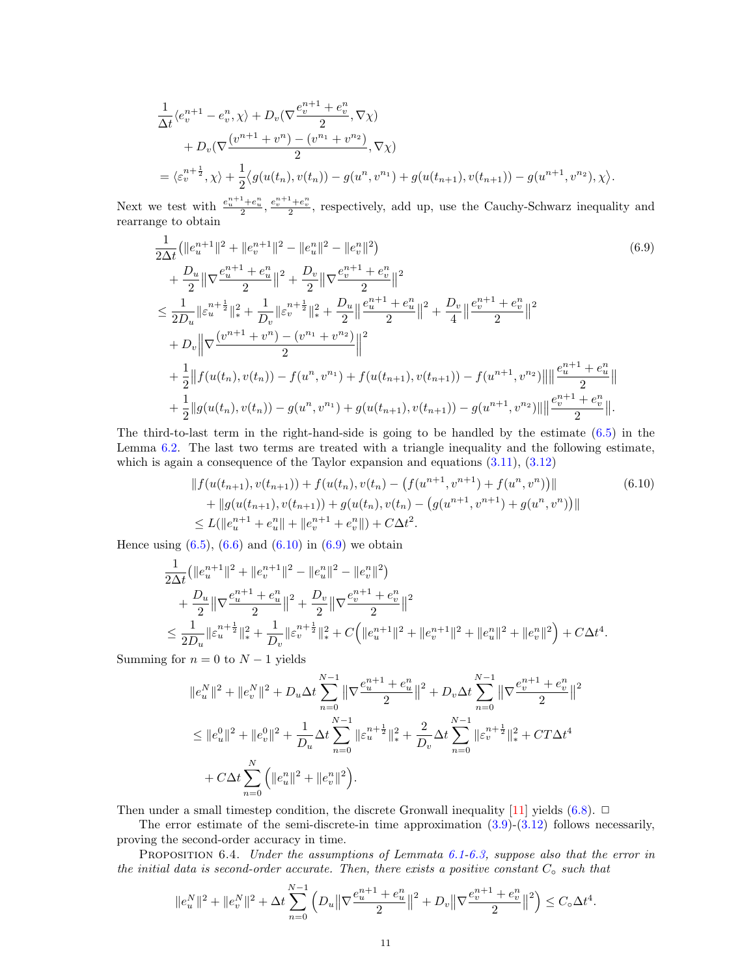$$
\frac{1}{\Delta t} \langle e_v^{n+1} - e_v^n, \chi \rangle + D_v(\nabla \frac{e_v^{n+1} + e_v^n}{2}, \nabla \chi) \n+ D_v(\nabla \frac{(v^{n+1} + v^n) - (v^{n+1} + v^{n+1})}{2}, \nabla \chi) \n= \langle \varepsilon_v^{n+\frac{1}{2}}, \chi \rangle + \frac{1}{2} \langle g(u(t_n), v(t_n)) - g(u^n, v^{n+1}) + g(u(t_{n+1}), v(t_{n+1})) - g(u^{n+1}, v^{n+1}), \chi \rangle.
$$

Next we test with  $\frac{e_u^{n+1}+e_u^n}{2}$ ,  $\frac{e_v^{n+1}+e_v^n}{2}$ , respectively, add up, use the Cauchy-Schwarz inequality and rearrange to obtain

<span id="page-10-1"></span>
$$
\frac{1}{2\Delta t} \left( \|e_{u}^{n+1}\|^{2} + \|e_{v}^{n+1}\|^{2} - \|e_{u}^{n}\|^{2} - \|e_{v}^{n}\|^{2} \right) \right)
$$
\n
$$
+ \frac{D_{u}}{2} \|\nabla \frac{e_{u}^{n+1} + e_{u}^{n}}{2} \|^{2} + \frac{D_{v}}{2} \|\nabla \frac{e_{v}^{n+1} + e_{v}^{n}}{2} \|^{2}
$$
\n
$$
\leq \frac{1}{2D_{u}} \|\varepsilon_{u}^{n+\frac{1}{2}}\|_{*}^{2} + \frac{1}{D_{v}} \|\varepsilon_{v}^{n+\frac{1}{2}}\|_{*}^{2} + \frac{D_{u}}{2} \|\frac{e_{u}^{n+1} + e_{u}^{n}}{2} \|^{2} + \frac{D_{v}}{4} \|\frac{e_{v}^{n+1} + e_{v}^{n}}{2} \|^{2}
$$
\n
$$
+ D_{v} \|\nabla \frac{(v^{n+1} + v^{n}) - (v^{n_{1}} + v^{n_{2}})}{2} \|^{2}
$$
\n
$$
+ \frac{1}{2} \|f(u(t_{n}), v(t_{n})) - f(u^{n}, v^{n_{1}}) + f(u(t_{n+1}), v(t_{n+1})) - f(u^{n+1}, v^{n_{2}}) \| \| \frac{e_{u}^{n+1} + e_{u}^{n}}{2} \|^{2}
$$
\n
$$
+ \frac{1}{2} \|g(u(t_{n}), v(t_{n})) - g(u^{n}, v^{n_{1}}) + g(u(t_{n+1}), v(t_{n+1})) - g(u^{n+1}, v^{n_{2}}) \| \| \frac{e_{v}^{n+1} + e_{v}^{n}}{2} \|^{2}
$$

The third-to-last term in the right-hand-side is going to be handled by the estimate [\(6.5\)](#page-9-0) in the Lemma [6.2.](#page-9-3) The last two terms are treated with a triangle inequality and the following estimate, which is again a consequence of the Taylor expansion and equations  $(3.11)$ ,  $(3.12)$ 

<span id="page-10-0"></span>
$$
||f(u(t_{n+1}), v(t_{n+1})) + f(u(t_n), v(t_n) - (f(u^{n+1}, v^{n+1}) + f(u^n, v^n))||
$$
\n
$$
+ ||g(u(t_{n+1}), v(t_{n+1})) + g(u(t_n), v(t_n) - (g(u^{n+1}, v^{n+1}) + g(u^n, v^n))||
$$
\n
$$
\leq L(||e_u^{n+1} + e_u^n|| + ||e_v^{n+1} + e_v^n||) + C\Delta t^2.
$$
\n(6.10)

Hence using  $(6.5)$ ,  $(6.6)$  and  $(6.10)$  in  $(6.9)$  we obtain

$$
\begin{split} &\frac{1}{2\Delta t}\left(\|e^{n+1}_{u}\|^{2}+\|e^{n+1}_{v}\|^{2}-\|e^{n}_{u}\|^{2}-\|e^{n}_{v}\|^{2}\right) \\ &+\frac{D_{u}}{2}\big\|\nabla\frac{e^{n+1}_{u}+e^{n}_{u}}{2}\big\|^{2}+\frac{D_{v}}{2}\big\|\nabla\frac{e^{n+1}_{v}+e^{n}_{v}}{2}\big\|^{2} \\ &\leq \frac{1}{2D_{u}}\| \varepsilon_{u}^{n+\frac{1}{2}}\|_{*}^{2}+\frac{1}{D_{v}}\| \varepsilon_{v}^{n+\frac{1}{2}}\|_{*}^{2}+C\Big(\|e^{n+1}_{u}\|^{2}+\|e^{n+1}_{v}\|^{2}+\|e^{n}_{u}\|^{2}+\|e^{n}_{v}\|^{2}\Big)+C\Delta t^{4}. \end{split}
$$

Summing for  $n = 0$  to  $N - 1$  yields

$$
\begin{split} &\|e_{u}^{N}\|^{2}+\|e_{v}^{N}\|^{2}+D_{u}\Delta t\sum_{n=0}^{N-1}\left\|\nabla\frac{e_{u}^{n+1}+e_{u}^{n}}{2}\right\|^{2}+D_{v}\Delta t\sum_{n=0}^{N-1}\left\|\nabla\frac{e_{v}^{n+1}+e_{v}^{n}}{2}\right\|^{2}\\ &\leq\|e_{u}^{0}\|^{2}+\|e_{v}^{0}\|^{2}+\frac{1}{D_{u}}\Delta t\sum_{n=0}^{N-1}\|\varepsilon_{u}^{n+\frac{1}{2}}\|_{*}^{2}+\frac{2}{D_{v}}\Delta t\sum_{n=0}^{N-1}\|\varepsilon_{v}^{n+\frac{1}{2}}\|_{*}^{2}+CT\Delta t^{4}\\ &+C\Delta t\sum_{n=0}^{N}\Big(\|e_{u}^{n}\|^{2}+\|e_{v}^{n}\|^{2}\Big). \end{split}
$$

Then under a small timestep condition, the discrete Gronwall inequality [\[11\]](#page-17-10) yields [\(6.8\)](#page-9-4).  $\Box$ 

The error estimate of the semi-discrete-in time approximation [\(3.9\)](#page-3-1)-[\(3.12\)](#page-3-2) follows necessarily, proving the second-order accuracy in time.

PROPOSITION 6.4. Under the assumptions of Lemmata [6.1-](#page-8-4)[6.3,](#page-9-5) suppose also that the error in the initial data is second-order accurate. Then, there exists a positive constant  $C_{\circ}$  such that

$$
||e_u^N||^2 + ||e_v^N||^2 + \Delta t \sum_{n=0}^{N-1} \left( D_u ||\nabla \frac{e_u^{n+1} + e_u^n}{2}||^2 + D_v ||\nabla \frac{e_v^{n+1} + e_v^n}{2}||^2 \right) \leq C_0 \Delta t^4.
$$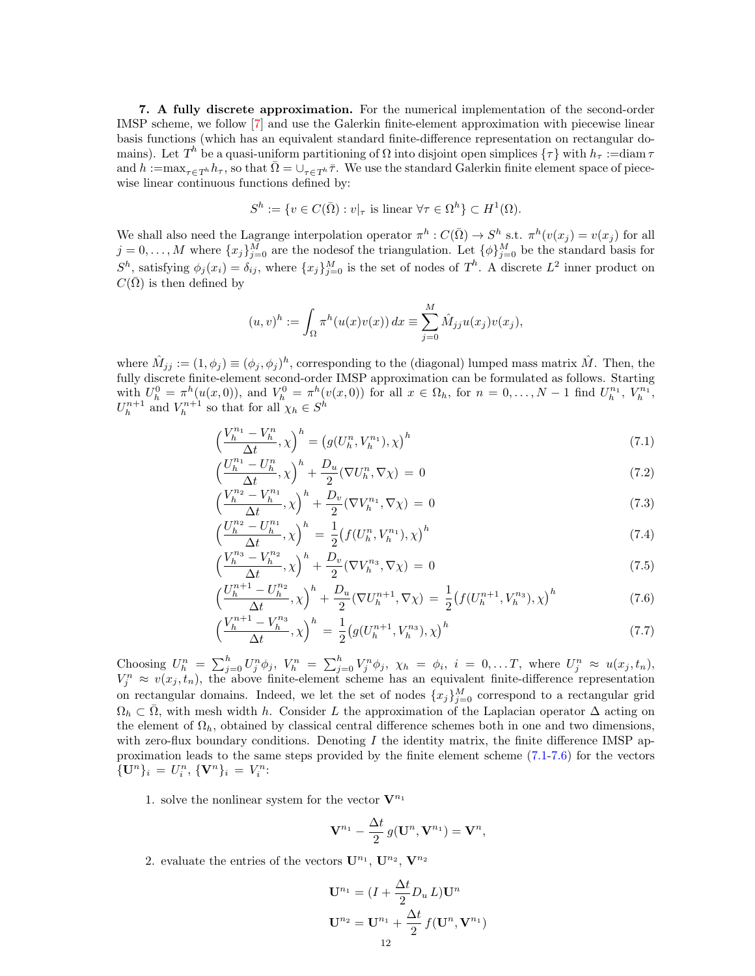<span id="page-11-0"></span>7. A fully discrete approximation. For the numerical implementation of the second-order IMSP scheme, we follow [\[7\]](#page-16-0) and use the Galerkin finite-element approximation with piecewise linear basis functions (which has an equivalent standard finite-difference representation on rectangular domains). Let  $T^h$  be a quasi-uniform partitioning of  $\Omega$  into disjoint open simplices  $\{\tau\}$  with  $h_\tau :=$ diam  $\tau$ and  $h := \max_{\tau \in T^h} h_\tau$ , so that  $\overline{\Omega} = \bigcup_{\tau \in T^h} \overline{\tau}$ . We use the standard Galerkin finite element space of piecewise linear continuous functions defined by:

$$
S^h := \{ v \in C(\overline{\Omega}) : v|_{\tau} \text{ is linear } \forall \tau \in \Omega^h \} \subset H^1(\Omega).
$$

We shall also need the Lagrange interpolation operator  $\pi^h : C(\overline{\Omega}) \to S^h$  s.t.  $\pi^h(v(x_j) = v(x_j))$  for all  $j = 0, \ldots, M$  where  $\{x_j\}_{j=0}^M$  are the nodes of the triangulation. Let  $\{\phi\}_{j=0}^M$  be the standard basis for  $S^h$ , satisfying  $\phi_j(x_i) = \delta_{ij}$ , where  $\{x_j\}_{j=0}^M$  is the set of nodes of  $T^h$ . A discrete  $L^2$  inner product on  $C(\overline{\Omega})$  is then defined by

<span id="page-11-1"></span>
$$
(u, v)^h := \int_{\Omega} \pi^h(u(x)v(x)) dx \equiv \sum_{j=0}^M \hat{M}_{jj} u(x_j)v(x_j),
$$

where  $\hat{M}_{jj} := (1, \phi_j) \equiv (\phi_j, \phi_j)^h$ , corresponding to the (diagonal) lumped mass matrix  $\hat{M}$ . Then, the fully discrete finite-element second-order IMSP approximation can be formulated as follows. Starting with  $U_h^0 = \pi^h(u(x,0))$ , and  $V_h^0 = \pi^h(v(x,0))$  for all  $x \in \Omega_h$ , for  $n = 0, ..., N-1$  find  $U_h^{n_1}, V_h^{n_1}$ ,  $U_h^{n+1}$  and  $V_h^{n+1}$  so that for all  $\chi_h \in S^h$ 

$$
\left(\frac{V_h^{n_1} - V_h^n}{\Delta t}, \chi\right)^h = \left(g(U_h^n, V_h^{n_1}), \chi\right)^h \tag{7.1}
$$

$$
\left(\frac{U_h^{n_1} - U_h^n}{\Delta t}, \chi\right)^h + \frac{D_u}{2} (\nabla U_h^n, \nabla \chi) = 0\tag{7.2}
$$

$$
\left(\frac{V_h^{n_2} - V_h^{n_1}}{\Delta t}, \chi\right)^h + \frac{D_v}{2} (\nabla V_h^{n_1}, \nabla \chi) = 0 \tag{7.3}
$$

$$
\left(\frac{U_h^{n_2} - U_h^{n_1}}{\Delta t}, \chi\right)^h = \frac{1}{2} \left(f(U_h^n, V_h^{n_1}), \chi\right)^h \tag{7.4}
$$

$$
\left(\frac{V_h^{n_3} - V_h^{n_2}}{\Delta t}, \chi\right)^h + \frac{D_v}{2} (\nabla V_h^{n_3}, \nabla \chi) = 0 \tag{7.5}
$$

$$
\left(\frac{U_h^{n+1} - U_h^{n_2}}{\Delta t}, \chi\right)^h + \frac{D_u}{2} (\nabla U_h^{n+1}, \nabla \chi) = \frac{1}{2} \left(f(U_h^{n+1}, V_h^{n_3}), \chi\right)^h \tag{7.6}
$$

$$
\left(\frac{V_h^{n+1} - V_h^{n_3}}{\Delta t}, \chi\right)^h = \frac{1}{2} \left(g(U_h^{n+1}, V_h^{n_3}), \chi\right)^h \tag{7.7}
$$

Choosing  $U_h^n = \sum_{j=0}^h U_j^n \phi_j$ ,  $V_h^n = \sum_{j=0}^h V_j^n \phi_j$ ,  $\chi_h = \phi_i$ ,  $i = 0, \ldots T$ , where  $U_j^n \approx u(x_j, t_n)$ ,  $V_j^n \approx v(x_j, t_n)$ , the above finite-element scheme has an equivalent finite-difference representation on rectangular domains. Indeed, we let the set of nodes  ${x_j}_{j=0}^M$  correspond to a rectangular grid  $\Omega_h \subset \overline{\Omega}$ , with mesh width h. Consider L the approximation of the Laplacian operator  $\Delta$  acting on the element of  $\Omega_h$ , obtained by classical central difference schemes both in one and two dimensions, with zero-flux boundary conditions. Denoting  $I$  the identity matrix, the finite difference IMSP approximation leads to the same steps provided by the finite element scheme [\(7.1-](#page-11-1)[7.6\)](#page-11-2) for the vectors  ${\{\mathbf U}^n\}_i = U_i^n, {\{\mathbf V}^n\}_i = V_i^n:$ 

1. solve the nonlinear system for the vector  $\mathbf{V}^{n_1}$ 

<span id="page-11-2"></span>
$$
\mathbf{V}^{n_1}-\frac{\Delta t}{2}\,g(\mathbf{U}^n,\mathbf{V}^{n_1})=\mathbf{V}^n,
$$

2. evaluate the entries of the vectors  $\mathbf{U}^{n_1}$ ,  $\mathbf{U}^{n_2}$ ,  $\mathbf{V}^{n_2}$ 

$$
\mathbf{U}^{n_1} = (I + \frac{\Delta t}{2} D_u L) \mathbf{U}^n
$$

$$
\mathbf{U}^{n_2} = \mathbf{U}^{n_1} + \frac{\Delta t}{2} f(\mathbf{U}^n, \mathbf{V}^{n_1})
$$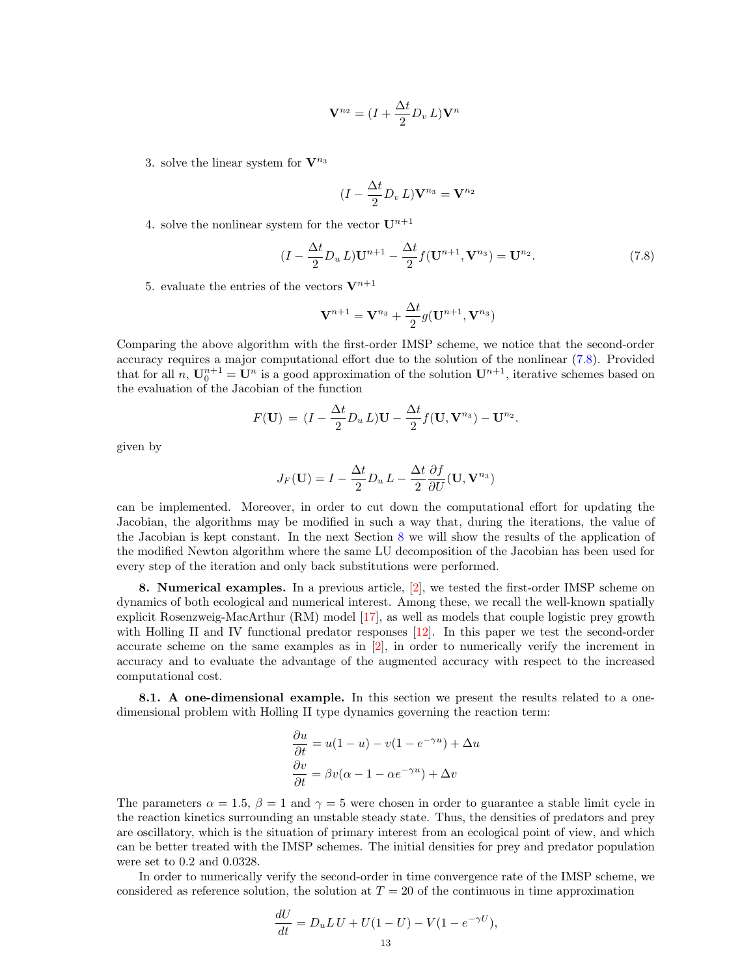$$
\mathbf{V}^{n_2} = (I + \frac{\Delta t}{2} D_v L) \mathbf{V}^n
$$

3. solve the linear system for  $\mathbf{V}^{n_3}$ 

<span id="page-12-1"></span>
$$
(I - \frac{\Delta t}{2} D_v L) \mathbf{V}^{n_3} = \mathbf{V}^{n_2}
$$

4. solve the nonlinear system for the vector  $\mathbf{U}^{n+1}$ 

$$
(I - \frac{\Delta t}{2} D_u L) \mathbf{U}^{n+1} - \frac{\Delta t}{2} f(\mathbf{U}^{n+1}, \mathbf{V}^{n}) = \mathbf{U}^{n}.
$$
 (7.8)

5. evaluate the entries of the vectors  $V^{n+1}$ 

$$
\mathbf{V}^{n+1} = \mathbf{V}^{n_3} + \frac{\Delta t}{2} g(\mathbf{U}^{n+1}, \mathbf{V}^{n_3})
$$

Comparing the above algorithm with the first-order IMSP scheme, we notice that the second-order accuracy requires a major computational effort due to the solution of the nonlinear [\(7.8\)](#page-12-1). Provided that for all n,  $\mathbf{U}_0^{n+1} = \mathbf{U}^n$  is a good approximation of the solution  $\mathbf{U}^{n+1}$ , iterative schemes based on the evaluation of the Jacobian of the function

$$
F(\mathbf{U}) = (I - \frac{\Delta t}{2} D_u L)\mathbf{U} - \frac{\Delta t}{2} f(\mathbf{U}, \mathbf{V}^{n_3}) - \mathbf{U}^{n_2}.
$$

given by

$$
J_F(\mathbf{U}) = I - \frac{\Delta t}{2} D_u L - \frac{\Delta t}{2} \frac{\partial f}{\partial U}(\mathbf{U}, \mathbf{V}^{n_3})
$$

can be implemented. Moreover, in order to cut down the computational effort for updating the Jacobian, the algorithms may be modified in such a way that, during the iterations, the value of the Jacobian is kept constant. In the next Section [8](#page-12-0) we will show the results of the application of the modified Newton algorithm where the same LU decomposition of the Jacobian has been used for every step of the iteration and only back substitutions were performed.

<span id="page-12-0"></span>8. Numerical examples. In a previous article, [\[2\]](#page-16-5), we tested the first-order IMSP scheme on dynamics of both ecological and numerical interest. Among these, we recall the well-known spatially explicit Rosenzweig-MacArthur (RM) model [\[17\]](#page-17-5), as well as models that couple logistic prey growth with Holling II and IV functional predator responses [\[12\]](#page-17-6). In this paper we test the second-order accurate scheme on the same examples as in [\[2\]](#page-16-5), in order to numerically verify the increment in accuracy and to evaluate the advantage of the augmented accuracy with respect to the increased computational cost.

8.1. A one-dimensional example. In this section we present the results related to a onedimensional problem with Holling II type dynamics governing the reaction term:

$$
\frac{\partial u}{\partial t} = u(1 - u) - v(1 - e^{-\gamma u}) + \Delta u
$$

$$
\frac{\partial v}{\partial t} = \beta v(\alpha - 1 - \alpha e^{-\gamma u}) + \Delta v
$$

The parameters  $\alpha = 1.5$ ,  $\beta = 1$  and  $\gamma = 5$  were chosen in order to guarantee a stable limit cycle in the reaction kinetics surrounding an unstable steady state. Thus, the densities of predators and prey are oscillatory, which is the situation of primary interest from an ecological point of view, and which can be better treated with the IMSP schemes. The initial densities for prey and predator population were set to 0.2 and 0.0328.

In order to numerically verify the second-order in time convergence rate of the IMSP scheme, we considered as reference solution, the solution at  $T = 20$  of the continuous in time approximation

$$
\frac{dU}{dt} = D_u L U + U(1 - U) - V(1 - e^{-\gamma U}),
$$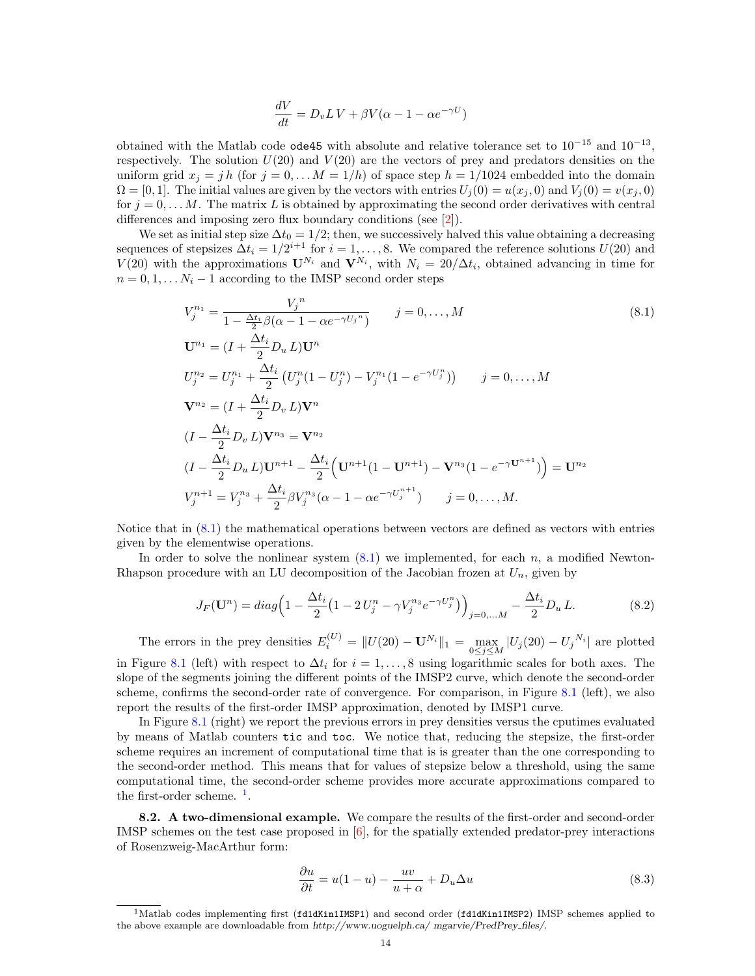<span id="page-13-0"></span>
$$
\frac{dV}{dt} = D_v L V + \beta V (\alpha - 1 - \alpha e^{-\gamma U})
$$

obtained with the Matlab code ode45 with absolute and relative tolerance set to  $10^{-15}$  and  $10^{-13}$ , respectively. The solution  $U(20)$  and  $V(20)$  are the vectors of prey and predators densities on the uniform grid  $x_j = jh$  (for  $j = 0, \ldots M = 1/h$ ) of space step  $h = 1/1024$  embedded into the domain  $\Omega = [0, 1]$ . The initial values are given by the vectors with entries  $U_i(0) = u(x_i, 0)$  and  $V_i(0) = v(x_i, 0)$ for  $j = 0, \ldots M$ . The matrix L is obtained by approximating the second order derivatives with central differences and imposing zero flux boundary conditions (see [\[2\]](#page-16-5)).

We set as initial step size  $\Delta t_0 = 1/2$ ; then, we successively halved this value obtaining a decreasing sequences of stepsizes  $\Delta t_i = 1/2^{i+1}$  for  $i = 1, ..., 8$ . We compared the reference solutions  $U(20)$  and  $V(20)$  with the approximations  $\mathbf{U}^{N_i}$  and  $\mathbf{V}^{N_i}$ , with  $N_i = 20/\Delta t_i$ , obtained advancing in time for  $n = 0, 1, \ldots N_i - 1$  according to the IMSP second order steps

$$
V_j^{n_1} = \frac{V_j^n}{1 - \frac{\Delta t_i}{2} \beta(\alpha - 1 - \alpha e^{-\gamma U_j^n})} \qquad j = 0, ..., M
$$
\n
$$
\mathbf{U}^{n_1} = (I + \frac{\Delta t_i}{2} D_u L) \mathbf{U}^n
$$
\n
$$
U_j^{n_2} = U_j^{n_1} + \frac{\Delta t_i}{2} (U_j^n (1 - U_j^n) - V_j^{n_1} (1 - e^{-\gamma U_j^n})) \qquad j = 0, ..., M
$$
\n
$$
\mathbf{V}^{n_2} = (I + \frac{\Delta t_i}{2} D_v L) \mathbf{V}^n
$$
\n
$$
(I - \frac{\Delta t_i}{2} D_v L) \mathbf{V}^{n_3} = \mathbf{V}^{n_2}
$$
\n
$$
(I - \frac{\Delta t_i}{2} D_u L) \mathbf{U}^{n_1} - \frac{\Delta t_i}{2} (U^{n+1} (1 - U^{n+1}) - \mathbf{V}^{n_3} (1 - e^{-\gamma U^{n+1}})) = \mathbf{U}^{n_2}
$$
\n
$$
V_j^{n+1} = V_j^{n_3} + \frac{\Delta t_i}{2} \beta V_j^{n_3} (\alpha - 1 - \alpha e^{-\gamma U_j^{n+1}}) \qquad j = 0, ..., M.
$$
\n
$$
(8.1)
$$

Notice that in [\(8.1\)](#page-13-0) the mathematical operations between vectors are defined as vectors with entries given by the elementwise operations.

In order to solve the nonlinear system  $(8.1)$  we implemented, for each  $n$ , a modified Newton-Rhapson procedure with an LU decomposition of the Jacobian frozen at  $U_n$ , given by

$$
J_F(\mathbf{U}^n) = diag\left(1 - \frac{\Delta t_i}{2} \left(1 - 2U_j^n - \gamma V_j^{n_3} e^{-\gamma U_j^n} \right) \right)_{j=0,...M} - \frac{\Delta t_i}{2} D_u L. \tag{8.2}
$$

The errors in the prey densities  $E_i^{(U)} = ||U(20) - \mathbf{U}^{N_i}||_1 = \max_{0 \le j \le M} |U_j(20) - U_j^{N_i}|$  are plotted in Figure [8.1](#page-14-0) (left) with respect to  $\Delta t_i$  for  $i = 1, \ldots, 8$  using logarithmic scales for both axes. The slope of the segments joining the different points of the IMSP2 curve, which denote the second-order scheme, confirms the second-order rate of convergence. For comparison, in Figure [8.1](#page-14-0) (left), we also report the results of the first-order IMSP approximation, denoted by IMSP1 curve.

In Figure [8.1](#page-14-0) (right) we report the previous errors in prey densities versus the cputimes evaluated by means of Matlab counters tic and toc. We notice that, reducing the stepsize, the first-order scheme requires an increment of computational time that is is greater than the one corresponding to the second-order method. This means that for values of stepsize below a threshold, using the same computational time, the second-order scheme provides more accurate approximations compared to the first-order scheme.  $<sup>1</sup>$  $<sup>1</sup>$  $<sup>1</sup>$ .</sup>

8.2. A two-dimensional example. We compare the results of the first-order and second-order IMSP schemes on the test case proposed in  $[6]$ , for the spatially extended predator-prey interactions of Rosenzweig-MacArthur form:

<span id="page-13-2"></span>
$$
\frac{\partial u}{\partial t} = u(1 - u) - \frac{uv}{u + \alpha} + D_u \Delta u \tag{8.3}
$$

<span id="page-13-1"></span><sup>&</sup>lt;sup>1</sup>Matlab codes implementing first (fd1dKin1IMSP1) and second order (fd1dKin1IMSP2) IMSP schemes applied to the above example are downloadable from http://www.uoguelph.ca/ mgarvie/PredPrey files/.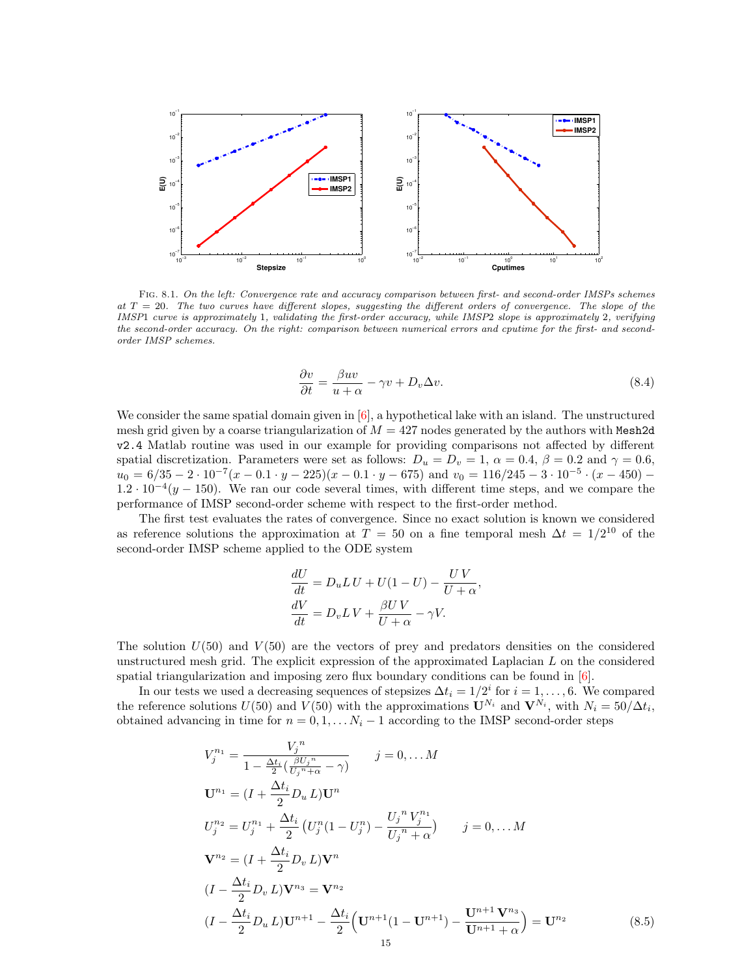

<span id="page-14-0"></span>Fig. 8.1. On the left: Convergence rate and accuracy comparison between first- and second-order IMSPs schemes at  $T = 20$ . The two curves have different slopes, suggesting the different orders of convergence. The slope of the IMSP1 curve is approximately 1, validating the first-order accuracy, while IMSP2 slope is approximately 2, verifying the second-order accuracy. On the right: comparison between numerical errors and cputime for the first- and secondorder IMSP schemes.

<span id="page-14-2"></span>
$$
\frac{\partial v}{\partial t} = \frac{\beta uv}{u + \alpha} - \gamma v + D_v \Delta v.
$$
\n(8.4)

We consider the same spatial domain given in  $[6]$ , a hypothetical lake with an island. The unstructured mesh grid given by a coarse triangularization of  $M = 427$  nodes generated by the authors with Mesh2d v2.4 Matlab routine was used in our example for providing comparisons not affected by different spatial discretization. Parameters were set as follows:  $D_u = D_v = 1$ ,  $\alpha = 0.4$ ,  $\beta = 0.2$  and  $\gamma = 0.6$ ,  $u_0 = 6/35 - 2 \cdot 10^{-7}(x - 0.1 \cdot y - 225)(x - 0.1 \cdot y - 675)$  and  $v_0 = 116/245 - 3 \cdot 10^{-5} \cdot (x - 450) 1.2 \cdot 10^{-4}(y - 150)$ . We ran our code several times, with different time steps, and we compare the performance of IMSP second-order scheme with respect to the first-order method.

The first test evaluates the rates of convergence. Since no exact solution is known we considered as reference solutions the approximation at  $T = 50$  on a fine temporal mesh  $\Delta t = 1/2^{10}$  of the second-order IMSP scheme applied to the ODE system

$$
\frac{dU}{dt} = D_u L U + U(1 - U) - \frac{U V}{U + \alpha},
$$

$$
\frac{dV}{dt} = D_v L V + \frac{\beta U V}{U + \alpha} - \gamma V.
$$

The solution  $U(50)$  and  $V(50)$  are the vectors of prey and predators densities on the considered unstructured mesh grid. The explicit expression of the approximated Laplacian L on the considered spatial triangularization and imposing zero flux boundary conditions can be found in  $[6]$ .

In our tests we used a decreasing sequences of stepsizes  $\Delta t_i = 1/2^i$  for  $i = 1, ..., 6$ . We compared the reference solutions  $U(50)$  and  $V(50)$  with the approximations  $\mathbf{U}^{N_i}$  and  $\mathbf{V}^{N_i}$ , with  $N_i = 50/\Delta t_i$ , obtained advancing in time for  $n = 0, 1, \ldots N_i - 1$  according to the IMSP second-order steps

<span id="page-14-1"></span>
$$
V_j^{n_1} = \frac{V_j^n}{1 - \frac{\Delta t_i}{2} (\frac{\beta U_j^n}{U_j^n + \alpha} - \gamma)} \qquad j = 0, \dots M
$$
  
\n
$$
\mathbf{U}^{n_1} = (I + \frac{\Delta t_i}{2} D_u L) \mathbf{U}^n
$$
  
\n
$$
U_j^{n_2} = U_j^{n_1} + \frac{\Delta t_i}{2} (U_j^n (1 - U_j^n) - \frac{U_j^n V_j^{n_1}}{U_j^n + \alpha}) \qquad j = 0, \dots M
$$
  
\n
$$
\mathbf{V}^{n_2} = (I + \frac{\Delta t_i}{2} D_v L) \mathbf{V}^n
$$
  
\n
$$
(I - \frac{\Delta t_i}{2} D_v L) \mathbf{V}^{n_3} = \mathbf{V}^{n_2}
$$
  
\n
$$
(I - \frac{\Delta t_i}{2} D_u L) \mathbf{U}^{n+1} - \frac{\Delta t_i}{2} (\mathbf{U}^{n+1} (1 - \mathbf{U}^{n+1}) - \frac{\mathbf{U}^{n+1} \mathbf{V}^{n_3}}{\mathbf{U}^{n+1} + \alpha}) = \mathbf{U}^{n_2}
$$
\n(8.5)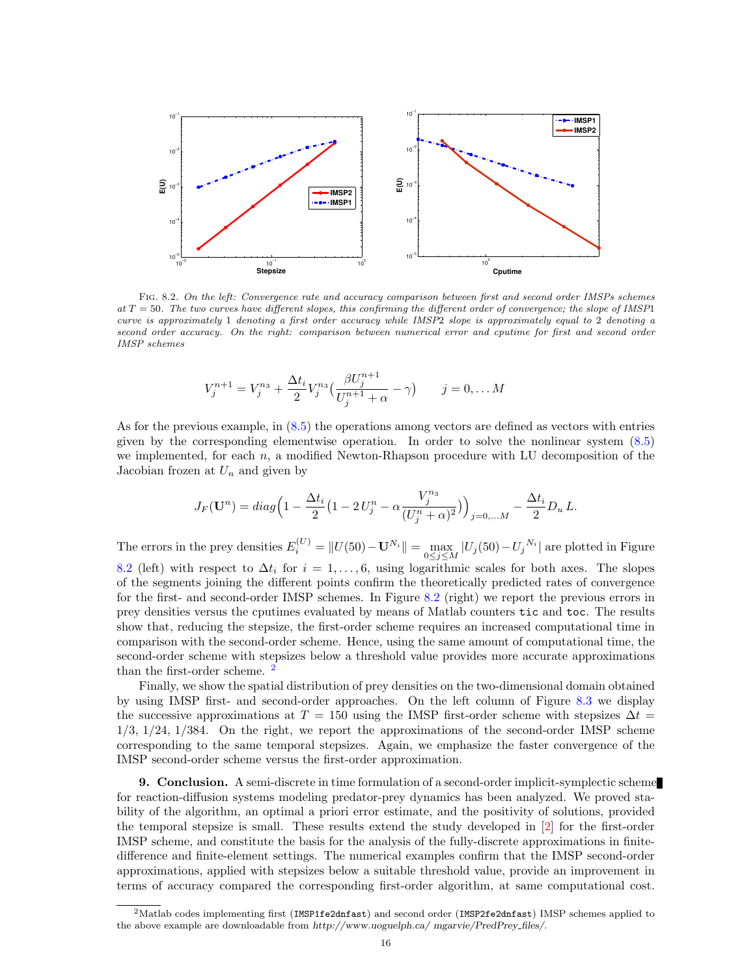

<span id="page-15-1"></span>Fig. 8.2. On the left: Convergence rate and accuracy comparison between first and second order IMSPs schemes at  $T = 50$ . The two curves have different slopes, this confirming the different order of convergence; the slope of IMSP1 curve is approximately 1 denoting a first order accuracy while IMSP2 slope is approximately equal to 2 denoting a second order accuracy. On the right: comparison between numerical error and cputime for first and second order IMSP schemes

$$
V_j^{n+1} = V_j^{n_3} + \frac{\Delta t_i}{2} V_j^{n_3} \left( \frac{\beta U_j^{n+1}}{U_j^{n+1} + \alpha} - \gamma \right) \qquad j = 0, \dots M
$$

As for the previous example, in [\(8.5\)](#page-14-1) the operations among vectors are defined as vectors with entries given by the corresponding elementwise operation. In order to solve the nonlinear system [\(8.5\)](#page-14-1) we implemented, for each  $n$ , a modified Newton-Rhapson procedure with LU decomposition of the Jacobian frozen at  $U_n$  and given by

$$
J_F(\mathbf{U}^n) = diag\left(1 - \frac{\Delta t_i}{2} \left(1 - 2U_j^n - \alpha \frac{V_j^{n_3}}{(U_j^n + \alpha)^2}\right)\right)_{j=0,...M} - \frac{\Delta t_i}{2} D_u L.
$$

The errors in the prey densities  $E_i^{(U)} = ||U(50) - \mathbf{U}^{N_i}|| = \max_{0 \le j \le M} |U_j(50) - U_j^{N_i}|$  are plotted in Figure [8.2](#page-15-1) (left) with respect to  $\Delta t_i$  for  $i = 1, \ldots, 6$ , using logarithmic scales for both axes. The slopes of the segments joining the different points confirm the theoretically predicted rates of convergence for the first- and second-order IMSP schemes. In Figure [8.2](#page-15-1) (right) we report the previous errors in prey densities versus the cputimes evaluated by means of Matlab counters tic and toc. The results show that, reducing the stepsize, the first-order scheme requires an increased computational time in comparison with the second-order scheme. Hence, using the same amount of computational time, the second-order scheme with stepsizes below a threshold value provides more accurate approximations than the first-order scheme.<sup>[2](#page-15-2)</sup>

Finally, we show the spatial distribution of prey densities on the two-dimensional domain obtained by using IMSP first- and second-order approaches. On the left column of Figure [8.3](#page-16-8) we display the successive approximations at  $T = 150$  using the IMSP first-order scheme with stepsizes  $\Delta t =$ 1/3, 1/24, 1/384. On the right, we report the approximations of the second-order IMSP scheme corresponding to the same temporal stepsizes. Again, we emphasize the faster convergence of the IMSP second-order scheme versus the first-order approximation.

<span id="page-15-0"></span>9. Conclusion. A semi-discrete in time formulation of a second-order implicit-symplectic scheme for reaction-diffusion systems modeling predator-prey dynamics has been analyzed. We proved stability of the algorithm, an optimal a priori error estimate, and the positivity of solutions, provided the temporal stepsize is small. These results extend the study developed in [\[2\]](#page-16-5) for the first-order IMSP scheme, and constitute the basis for the analysis of the fully-discrete approximations in finitedifference and finite-element settings. The numerical examples confirm that the IMSP second-order approximations, applied with stepsizes below a suitable threshold value, provide an improvement in terms of accuracy compared the corresponding first-order algorithm, at same computational cost.

<span id="page-15-2"></span><sup>&</sup>lt;sup>2</sup>Matlab codes implementing first (IMSP1fe2dnfast) and second order (IMSP2fe2dnfast) IMSP schemes applied to the above example are downloadable from http://www.uoguelph.ca/ mgarvie/PredPrey files/.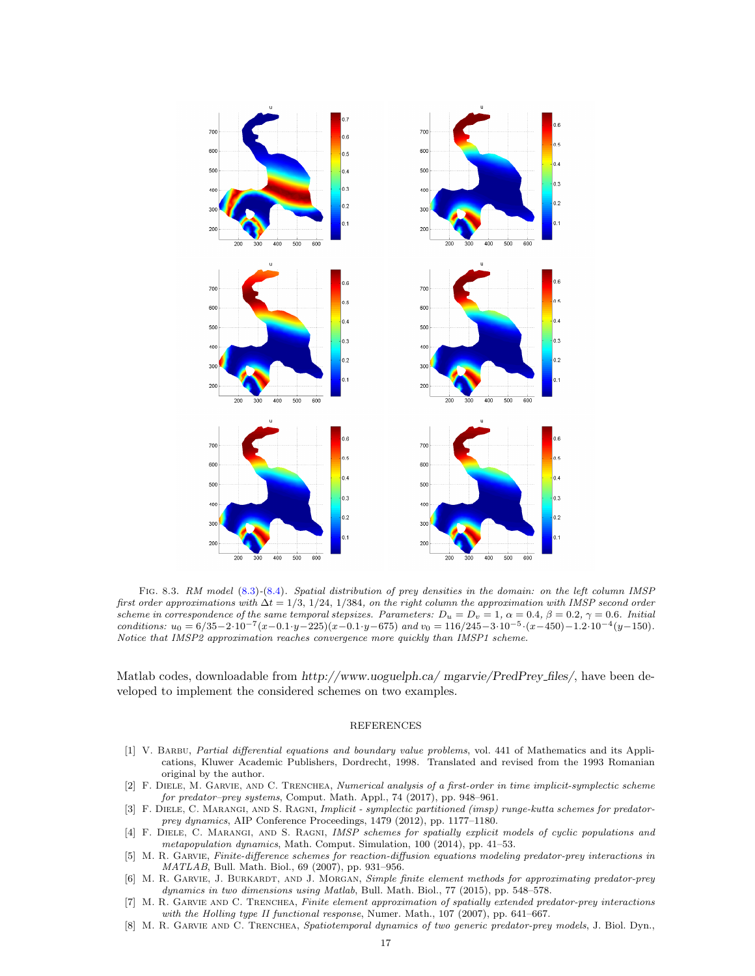

<span id="page-16-8"></span>Fig. 8.3. RM model [\(8.3\)](#page-13-2)-[\(8.4\)](#page-14-2). Spatial distribution of prey densities in the domain: on the left column IMSP first order approximations with  $\Delta t = 1/3$ , 1/24, 1/384, on the right column the approximation with IMSP second order scheme in correspondence of the same temporal stepsizes. Parameters:  $D_u = D_v = 1$ ,  $\alpha = 0.4$ ,  $\beta = 0.2$ ,  $\gamma = 0.6$ . Initial conditions:  $u_0 = 6/35 - 2 \cdot 10^{-7} (x - 0.1 \cdot y - 225)(x - 0.1 \cdot y - 675)$  and  $v_0 = 116/245 - 3 \cdot 10^{-5} \cdot (x - 450) - 1.2 \cdot 10^{-4} (y - 150)$ . Notice that IMSP2 approximation reaches convergence more quickly than IMSP1 scheme.

Matlab codes, downloadable from http://www.uoguelph.ca/ mgarvie/PredPrey files/, have been developed to implement the considered schemes on two examples.

### REFERENCES

- <span id="page-16-6"></span>[1] V. Barbu, Partial differential equations and boundary value problems, vol. 441 of Mathematics and its Applications, Kluwer Academic Publishers, Dordrecht, 1998. Translated and revised from the 1993 Romanian original by the author.
- <span id="page-16-5"></span>[2] F. Diele, M. Garvie, and C. Trenchea, Numerical analysis of a first-order in time implicit-symplectic scheme for predator–prey systems, Comput. Math. Appl., 74 (2017), pp. 948–961.
- <span id="page-16-3"></span>[3] F. DIELE, C. MARANGI, AND S. RAGNI, Implicit - symplectic partitioned (imsp) runge-kutta schemes for predatorprey dynamics, AIP Conference Proceedings, 1479 (2012), pp. 1177–1180.
- <span id="page-16-4"></span>[4] F. DIELE, C. MARANGI, AND S. RAGNI, IMSP schemes for spatially explicit models of cyclic populations and metapopulation dynamics, Math. Comput. Simulation, 100 (2014), pp. 41–53.
- <span id="page-16-2"></span>[5] M. R. Garvie, Finite-difference schemes for reaction-diffusion equations modeling predator-prey interactions in MATLAB, Bull. Math. Biol., 69 (2007), pp. 931–956.
- <span id="page-16-7"></span>[6] M. R. GARVIE, J. BURKARDT, AND J. MORGAN, Simple finite element methods for approximating predator-prey dynamics in two dimensions using Matlab, Bull. Math. Biol., 77 (2015), pp. 548–578.
- <span id="page-16-0"></span>[7] M. R. GARVIE AND C. TRENCHEA, Finite element approximation of spatially extended predator-prey interactions with the Holling type II functional response, Numer. Math., 107 (2007), pp. 641–667.
- <span id="page-16-1"></span>[8] M. R. GARVIE AND C. TRENCHEA, Spatiotemporal dynamics of two generic predator-prey models, J. Biol. Dyn.,